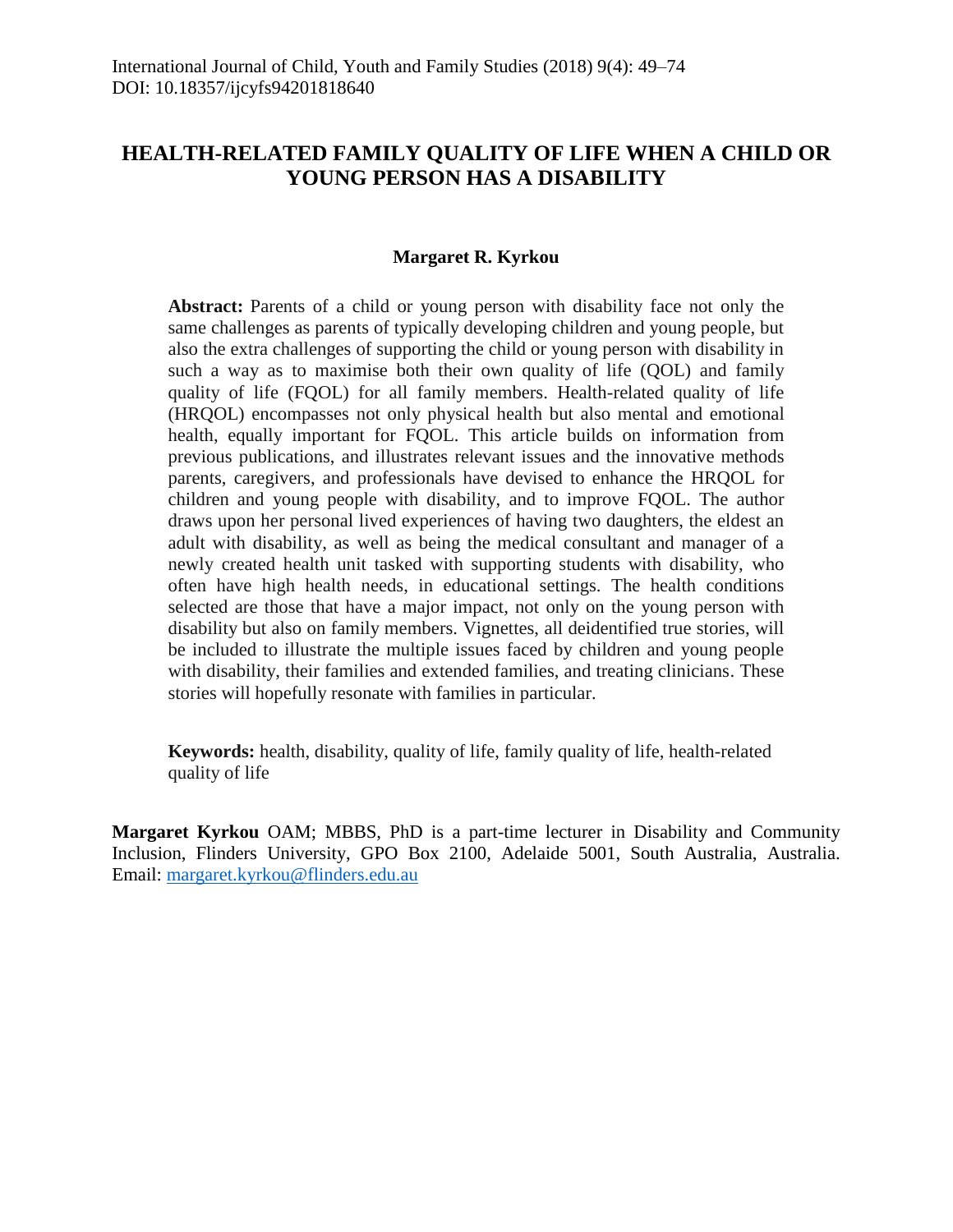# **HEALTH-RELATED FAMILY QUALITY OF LIFE WHEN A CHILD OR YOUNG PERSON HAS A DISABILITY**

# **Margaret R. Kyrkou**

**Abstract:** Parents of a child or young person with disability face not only the same challenges as parents of typically developing children and young people, but also the extra challenges of supporting the child or young person with disability in such a way as to maximise both their own quality of life (QOL) and family quality of life (FQOL) for all family members. Health-related quality of life (HRQOL) encompasses not only physical health but also mental and emotional health, equally important for FQOL. This article builds on information from previous publications, and illustrates relevant issues and the innovative methods parents, caregivers, and professionals have devised to enhance the HRQOL for children and young people with disability, and to improve FQOL. The author draws upon her personal lived experiences of having two daughters, the eldest an adult with disability, as well as being the medical consultant and manager of a newly created health unit tasked with supporting students with disability, who often have high health needs, in educational settings. The health conditions selected are those that have a major impact, not only on the young person with disability but also on family members. Vignettes, all deidentified true stories, will be included to illustrate the multiple issues faced by children and young people with disability, their families and extended families, and treating clinicians. These stories will hopefully resonate with families in particular.

**Keywords:** health, disability, quality of life, family quality of life, health-related quality of life

**Margaret Kyrkou** OAM; MBBS, PhD is a part-time lecturer in Disability and Community Inclusion, Flinders University, GPO Box 2100, Adelaide 5001, South Australia, Australia. Email: [margaret.kyrkou@flinders.edu.au](mailto:margaret.kyrkou@flinders.edu.au)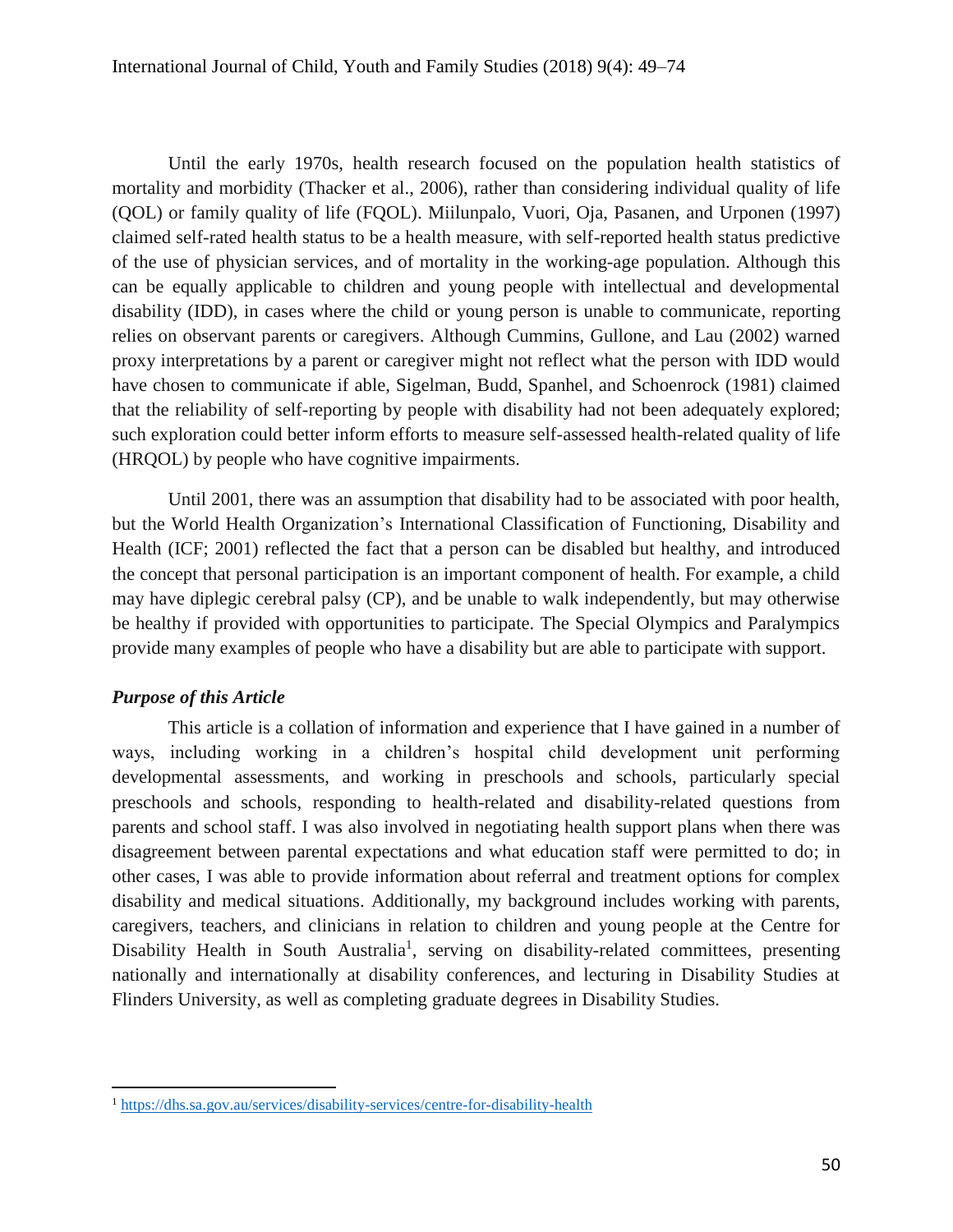Until the early 1970s, health research focused on the population health statistics of mortality and morbidity (Thacker et al., 2006), rather than considering individual quality of life (QOL) or family quality of life (FQOL). Miilunpalo, Vuori, Oja, Pasanen, and Urponen (1997) claimed self-rated health status to be a health measure, with self-reported health status predictive of the use of physician services, and of mortality in the working-age population. Although this can be equally applicable to children and young people with intellectual and developmental disability (IDD), in cases where the child or young person is unable to communicate, reporting relies on observant parents or caregivers. Although Cummins, Gullone, and Lau (2002) warned proxy interpretations by a parent or caregiver might not reflect what the person with IDD would have chosen to communicate if able, Sigelman, Budd, Spanhel, and Schoenrock (1981) claimed that the reliability of self-reporting by people with disability had not been adequately explored; such exploration could better inform efforts to measure self-assessed health-related quality of life (HRQOL) by people who have cognitive impairments.

Until 2001, there was an assumption that disability had to be associated with poor health, but the World Health Organization's International Classification of Functioning, Disability and Health (ICF; 2001) reflected the fact that a person can be disabled but healthy, and introduced the concept that personal participation is an important component of health. For example, a child may have diplegic cerebral palsy (CP), and be unable to walk independently, but may otherwise be healthy if provided with opportunities to participate. The Special Olympics and Paralympics provide many examples of people who have a disability but are able to participate with support.

# *Purpose of this Article*

 $\overline{a}$ 

This article is a collation of information and experience that I have gained in a number of ways, including working in a children's hospital child development unit performing developmental assessments, and working in preschools and schools, particularly special preschools and schools, responding to health-related and disability-related questions from parents and school staff. I was also involved in negotiating health support plans when there was disagreement between parental expectations and what education staff were permitted to do; in other cases, I was able to provide information about referral and treatment options for complex disability and medical situations. Additionally, my background includes working with parents, caregivers, teachers, and clinicians in relation to children and young people at the Centre for Disability Health in South Australia<sup>1</sup>, serving on disability-related committees, presenting nationally and internationally at disability conferences, and lecturing in Disability Studies at Flinders University, as well as completing graduate degrees in Disability Studies.

<sup>1</sup> <https://dhs.sa.gov.au/services/disability-services/centre-for-disability-health>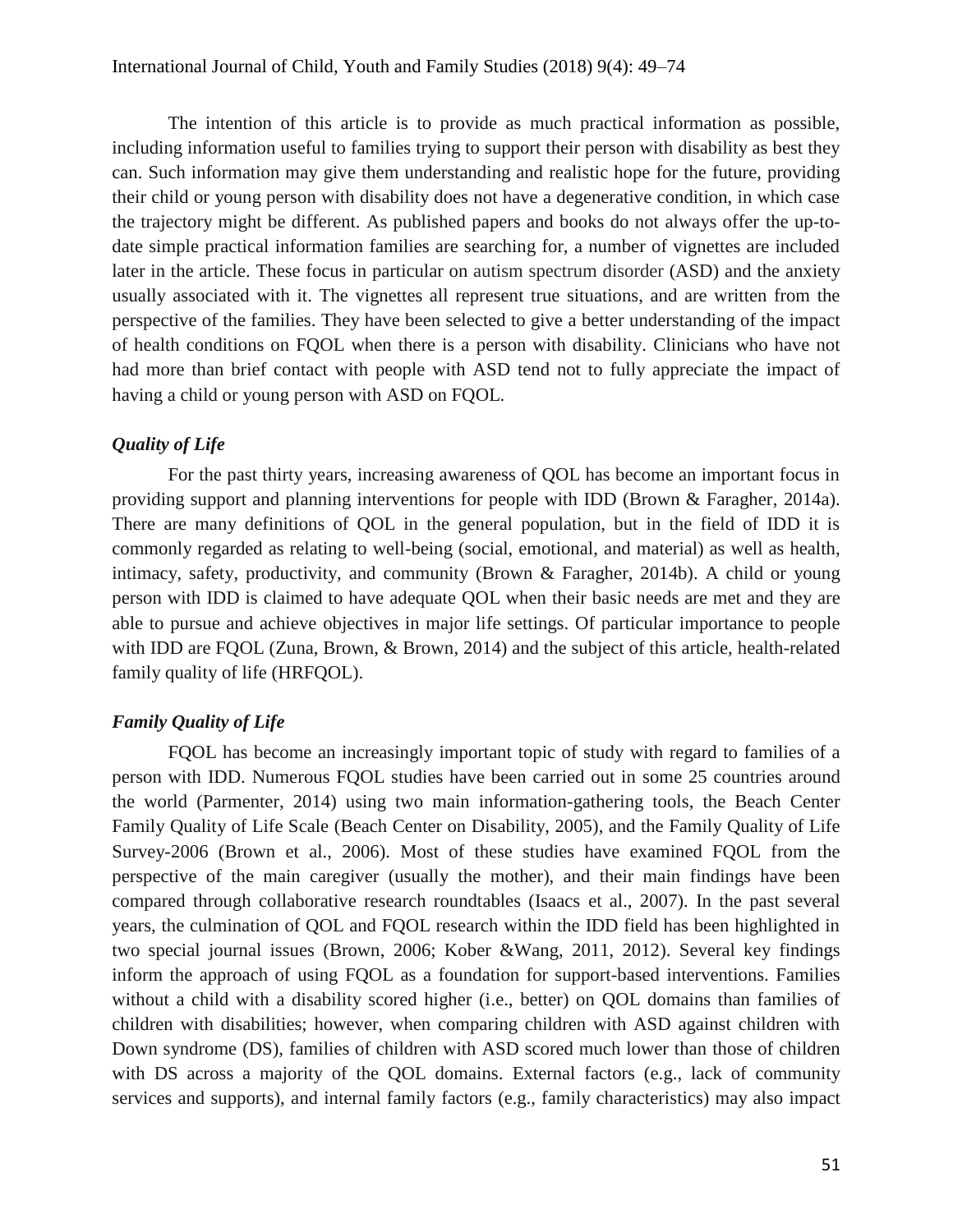The intention of this article is to provide as much practical information as possible, including information useful to families trying to support their person with disability as best they can. Such information may give them understanding and realistic hope for the future, providing their child or young person with disability does not have a degenerative condition, in which case the trajectory might be different. As published papers and books do not always offer the up-todate simple practical information families are searching for, a number of vignettes are included later in the article. These focus in particular on autism spectrum disorder (ASD) and the anxiety usually associated with it. The vignettes all represent true situations, and are written from the perspective of the families. They have been selected to give a better understanding of the impact of health conditions on FQOL when there is a person with disability. Clinicians who have not had more than brief contact with people with ASD tend not to fully appreciate the impact of having a child or young person with ASD on FQOL.

### *Quality of Life*

For the past thirty years, increasing awareness of QOL has become an important focus in providing support and planning interventions for people with IDD (Brown & Faragher, 2014a). There are many definitions of QOL in the general population, but in the field of IDD it is commonly regarded as relating to well-being (social, emotional, and material) as well as health, intimacy, safety, productivity, and community (Brown & Faragher, 2014b). A child or young person with IDD is claimed to have adequate QOL when their basic needs are met and they are able to pursue and achieve objectives in major life settings. Of particular importance to people with IDD are FQOL (Zuna, Brown, & Brown, 2014) and the subject of this article, health-related family quality of life (HRFQOL).

### *Family Quality of Life*

FQOL has become an increasingly important topic of study with regard to families of a person with IDD. Numerous FQOL studies have been carried out in some 25 countries around the world (Parmenter, 2014) using two main information-gathering tools, the Beach Center Family Quality of Life Scale (Beach Center on Disability, 2005), and the Family Quality of Life Survey-2006 (Brown et al., 2006). Most of these studies have examined FQOL from the perspective of the main caregiver (usually the mother), and their main findings have been compared through collaborative research roundtables (Isaacs et al., 2007). In the past several years, the culmination of QOL and FQOL research within the IDD field has been highlighted in two special journal issues (Brown, 2006; Kober &Wang, 2011, 2012). Several key findings inform the approach of using FQOL as a foundation for support-based interventions. Families without a child with a disability scored higher (i.e., better) on QOL domains than families of children with disabilities; however, when comparing children with ASD against children with Down syndrome (DS), families of children with ASD scored much lower than those of children with DS across a majority of the QOL domains. External factors (e.g., lack of community services and supports), and internal family factors (e.g., family characteristics) may also impact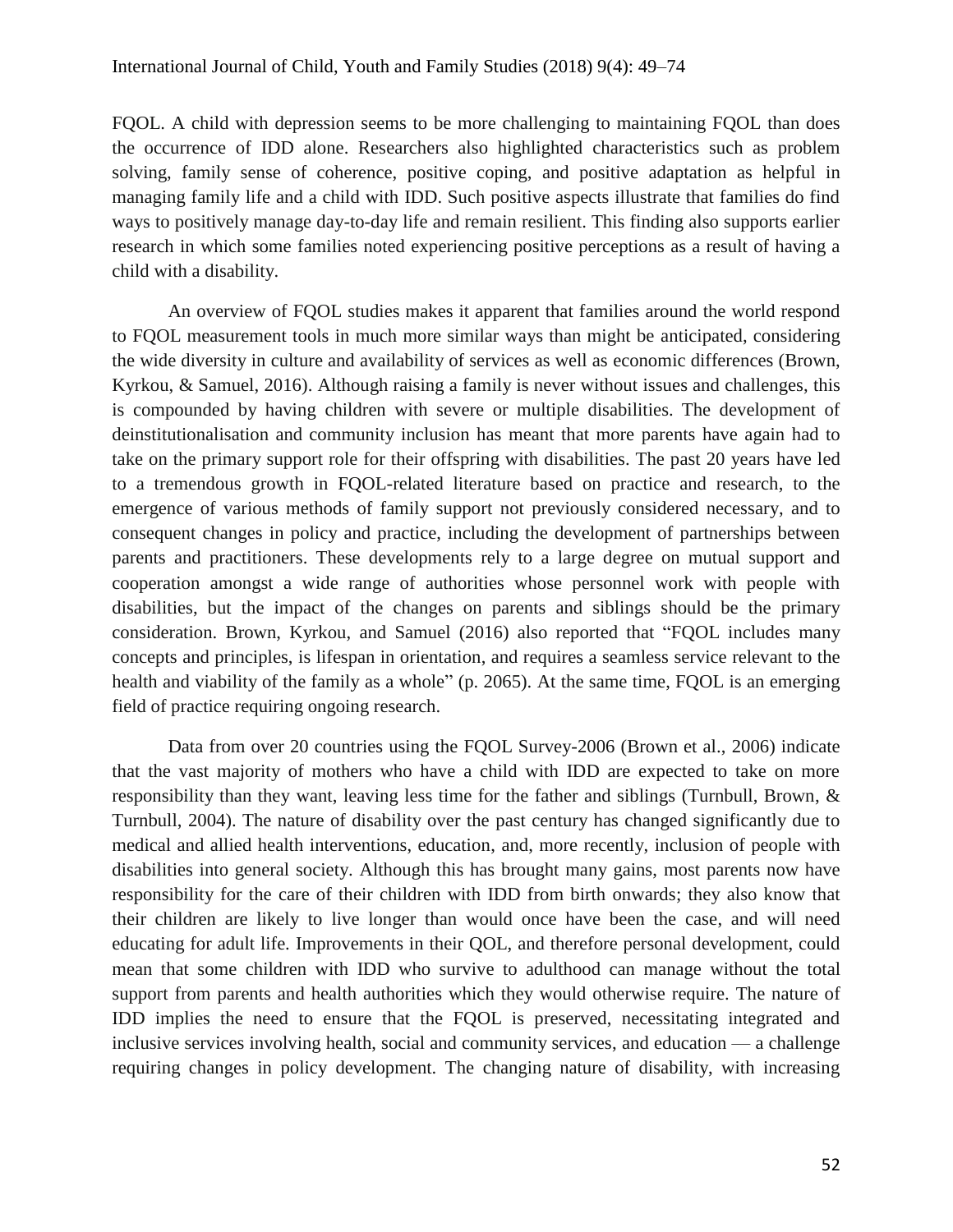FQOL. A child with depression seems to be more challenging to maintaining FQOL than does the occurrence of IDD alone. Researchers also highlighted characteristics such as problem solving, family sense of coherence, positive coping, and positive adaptation as helpful in managing family life and a child with IDD. Such positive aspects illustrate that families do find ways to positively manage day-to-day life and remain resilient. This finding also supports earlier research in which some families noted experiencing positive perceptions as a result of having a child with a disability.

An overview of FQOL studies makes it apparent that families around the world respond to FQOL measurement tools in much more similar ways than might be anticipated, considering the wide diversity in culture and availability of services as well as economic differences (Brown, Kyrkou, & Samuel, 2016). Although raising a family is never without issues and challenges, this is compounded by having children with severe or multiple disabilities. The development of deinstitutionalisation and community inclusion has meant that more parents have again had to take on the primary support role for their offspring with disabilities. The past 20 years have led to a tremendous growth in FQOL-related literature based on practice and research, to the emergence of various methods of family support not previously considered necessary, and to consequent changes in policy and practice, including the development of partnerships between parents and practitioners. These developments rely to a large degree on mutual support and cooperation amongst a wide range of authorities whose personnel work with people with disabilities, but the impact of the changes on parents and siblings should be the primary consideration. Brown, Kyrkou, and Samuel (2016) also reported that "FQOL includes many concepts and principles, is lifespan in orientation, and requires a seamless service relevant to the health and viability of the family as a whole" (p. 2065). At the same time, FQOL is an emerging field of practice requiring ongoing research.

Data from over 20 countries using the FQOL Survey-2006 (Brown et al., 2006) indicate that the vast majority of mothers who have a child with IDD are expected to take on more responsibility than they want, leaving less time for the father and siblings (Turnbull, Brown, & Turnbull, 2004). The nature of disability over the past century has changed significantly due to medical and allied health interventions, education, and, more recently, inclusion of people with disabilities into general society. Although this has brought many gains, most parents now have responsibility for the care of their children with IDD from birth onwards; they also know that their children are likely to live longer than would once have been the case, and will need educating for adult life. Improvements in their QOL, and therefore personal development, could mean that some children with IDD who survive to adulthood can manage without the total support from parents and health authorities which they would otherwise require. The nature of IDD implies the need to ensure that the FQOL is preserved, necessitating integrated and inclusive services involving health, social and community services, and education — a challenge requiring changes in policy development. The changing nature of disability, with increasing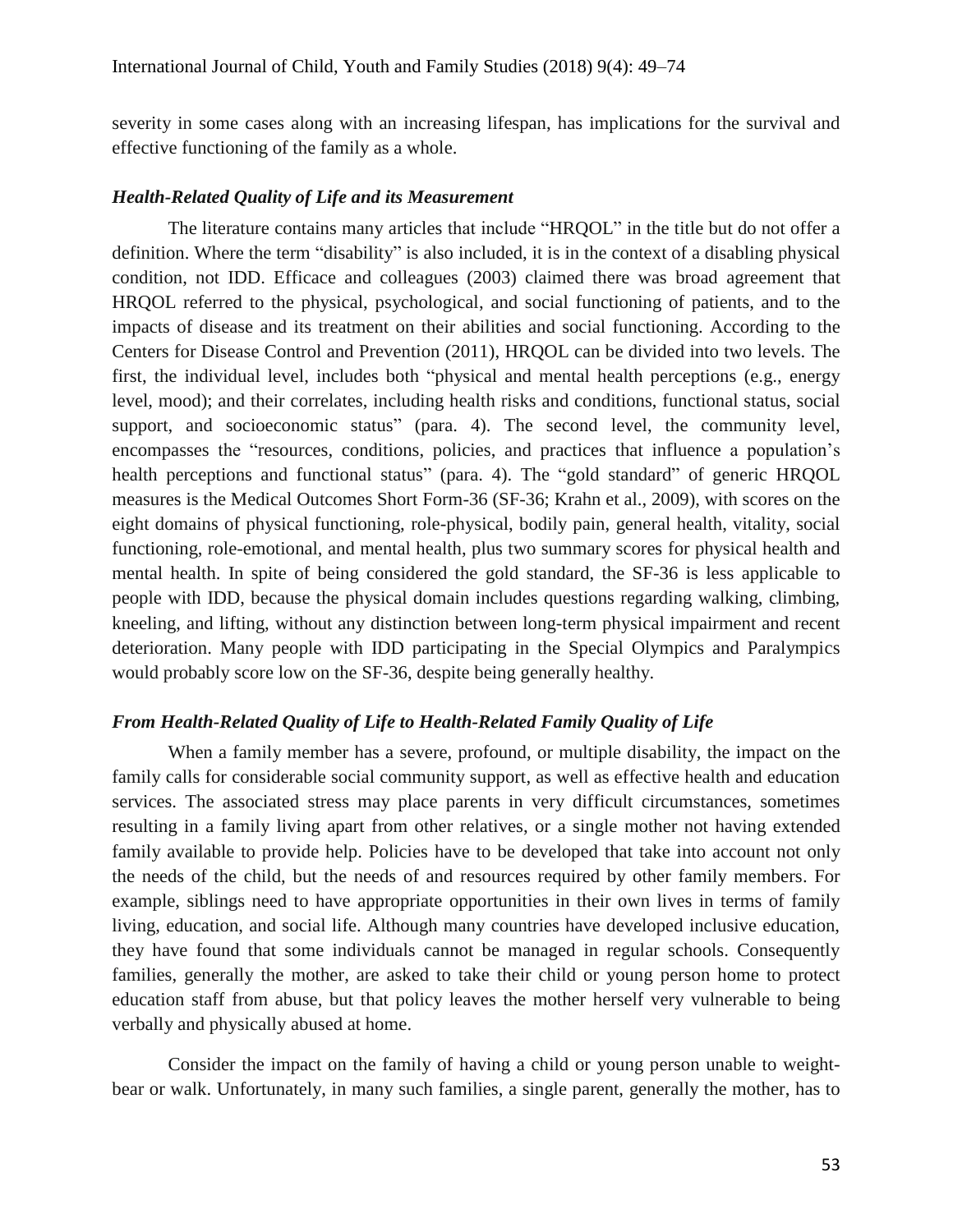severity in some cases along with an increasing lifespan, has implications for the survival and effective functioning of the family as a whole.

### *Health-Related Quality of Life and its Measurement*

The literature contains many articles that include "HRQOL" in the title but do not offer a definition. Where the term "disability" is also included, it is in the context of a disabling physical condition, not IDD. Efficace and colleagues (2003) claimed there was broad agreement that HRQOL referred to the physical, psychological, and social functioning of patients, and to the impacts of disease and its treatment on their abilities and social functioning. According to the Centers for Disease Control and Prevention (2011), HRQOL can be divided into two levels. The first, the individual level, includes both "physical and mental health perceptions (e.g., energy level, mood); and their correlates, including health risks and conditions, functional status, social support, and socioeconomic status" (para. 4). The second level, the community level, encompasses the "resources, conditions, policies, and practices that influence a population's health perceptions and functional status" (para. 4). The "gold standard" of generic HRQOL measures is the Medical Outcomes Short Form-36 (SF-36; Krahn et al., 2009), with scores on the eight domains of physical functioning, role-physical, bodily pain, general health, vitality, social functioning, role-emotional, and mental health, plus two summary scores for physical health and mental health. In spite of being considered the gold standard, the SF-36 is less applicable to people with IDD, because the physical domain includes questions regarding walking, climbing, kneeling, and lifting, without any distinction between long-term physical impairment and recent deterioration. Many people with IDD participating in the Special Olympics and Paralympics would probably score low on the SF-36, despite being generally healthy.

# *From Health-Related Quality of Life to Health-Related Family Quality of Life*

When a family member has a severe, profound, or multiple disability, the impact on the family calls for considerable social community support, as well as effective health and education services. The associated stress may place parents in very difficult circumstances, sometimes resulting in a family living apart from other relatives, or a single mother not having extended family available to provide help. Policies have to be developed that take into account not only the needs of the child, but the needs of and resources required by other family members. For example, siblings need to have appropriate opportunities in their own lives in terms of family living, education, and social life. Although many countries have developed inclusive education, they have found that some individuals cannot be managed in regular schools. Consequently families, generally the mother, are asked to take their child or young person home to protect education staff from abuse, but that policy leaves the mother herself very vulnerable to being verbally and physically abused at home.

Consider the impact on the family of having a child or young person unable to weightbear or walk. Unfortunately, in many such families, a single parent, generally the mother, has to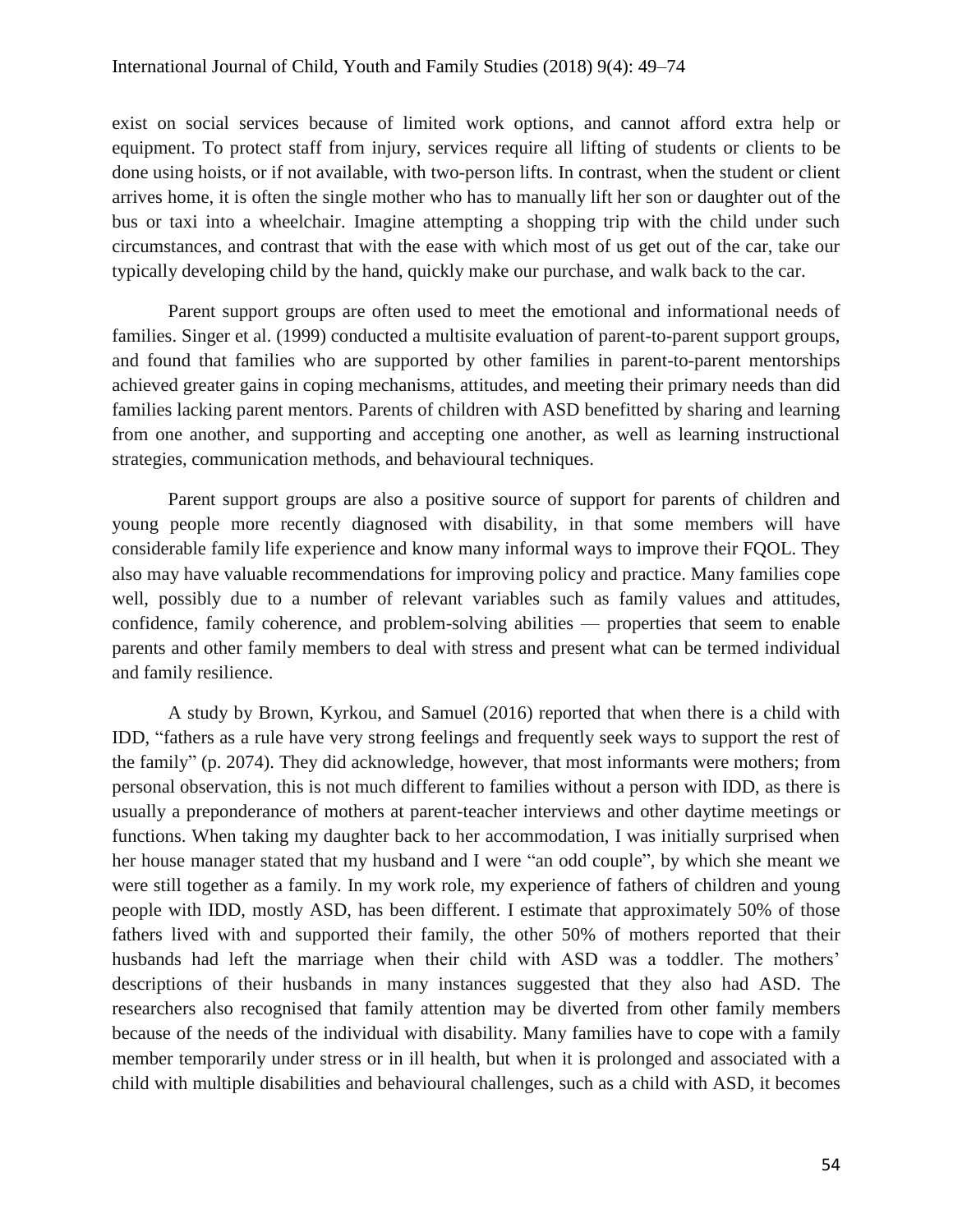exist on social services because of limited work options, and cannot afford extra help or equipment. To protect staff from injury, services require all lifting of students or clients to be done using hoists, or if not available, with two-person lifts. In contrast, when the student or client arrives home, it is often the single mother who has to manually lift her son or daughter out of the bus or taxi into a wheelchair. Imagine attempting a shopping trip with the child under such circumstances, and contrast that with the ease with which most of us get out of the car, take our typically developing child by the hand, quickly make our purchase, and walk back to the car.

Parent support groups are often used to meet the emotional and informational needs of families. Singer et al. (1999) conducted a multisite evaluation of parent-to-parent support groups, and found that families who are supported by other families in parent-to-parent mentorships achieved greater gains in coping mechanisms, attitudes, and meeting their primary needs than did families lacking parent mentors. Parents of children with ASD benefitted by sharing and learning from one another, and supporting and accepting one another, as well as learning instructional strategies, communication methods, and behavioural techniques.

Parent support groups are also a positive source of support for parents of children and young people more recently diagnosed with disability, in that some members will have considerable family life experience and know many informal ways to improve their FQOL. They also may have valuable recommendations for improving policy and practice. Many families cope well, possibly due to a number of relevant variables such as family values and attitudes, confidence, family coherence, and problem-solving abilities — properties that seem to enable parents and other family members to deal with stress and present what can be termed individual and family resilience.

A study by Brown, Kyrkou, and Samuel (2016) reported that when there is a child with IDD, "fathers as a rule have very strong feelings and frequently seek ways to support the rest of the family" (p. 2074). They did acknowledge, however, that most informants were mothers; from personal observation, this is not much different to families without a person with IDD, as there is usually a preponderance of mothers at parent-teacher interviews and other daytime meetings or functions. When taking my daughter back to her accommodation, I was initially surprised when her house manager stated that my husband and I were "an odd couple", by which she meant we were still together as a family. In my work role, my experience of fathers of children and young people with IDD, mostly ASD, has been different. I estimate that approximately 50% of those fathers lived with and supported their family, the other 50% of mothers reported that their husbands had left the marriage when their child with ASD was a toddler. The mothers' descriptions of their husbands in many instances suggested that they also had ASD. The researchers also recognised that family attention may be diverted from other family members because of the needs of the individual with disability. Many families have to cope with a family member temporarily under stress or in ill health, but when it is prolonged and associated with a child with multiple disabilities and behavioural challenges, such as a child with ASD, it becomes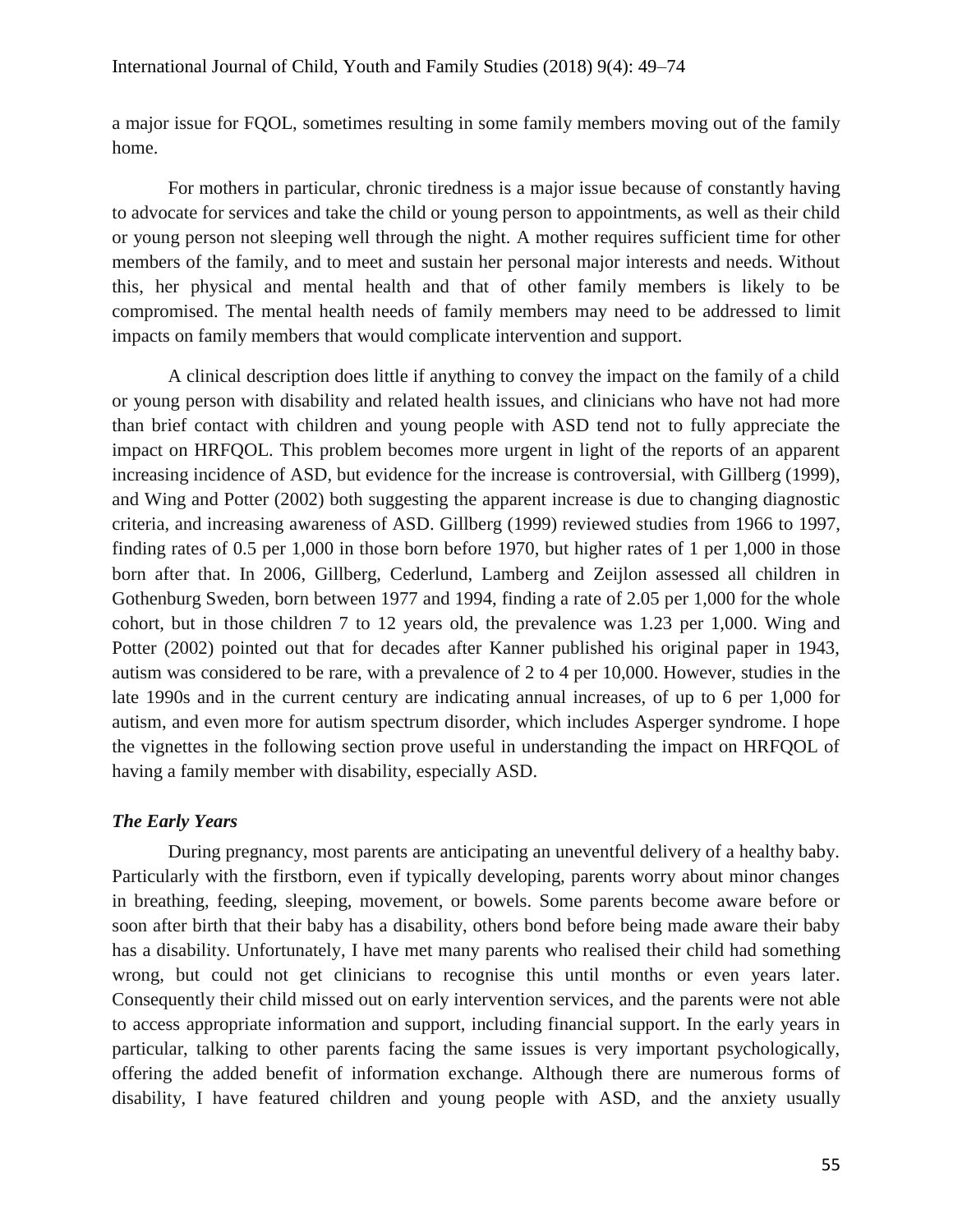a major issue for FQOL, sometimes resulting in some family members moving out of the family home.

For mothers in particular, chronic tiredness is a major issue because of constantly having to advocate for services and take the child or young person to appointments, as well as their child or young person not sleeping well through the night. A mother requires sufficient time for other members of the family, and to meet and sustain her personal major interests and needs. Without this, her physical and mental health and that of other family members is likely to be compromised. The mental health needs of family members may need to be addressed to limit impacts on family members that would complicate intervention and support.

A clinical description does little if anything to convey the impact on the family of a child or young person with disability and related health issues, and clinicians who have not had more than brief contact with children and young people with ASD tend not to fully appreciate the impact on HRFQOL. This problem becomes more urgent in light of the reports of an apparent increasing incidence of ASD, but evidence for the increase is controversial, with Gillberg (1999), and Wing and Potter (2002) both suggesting the apparent increase is due to changing diagnostic criteria, and increasing awareness of ASD. Gillberg (1999) reviewed studies from 1966 to 1997, finding rates of 0.5 per 1,000 in those born before 1970, but higher rates of 1 per 1,000 in those born after that. In 2006, Gillberg, Cederlund, Lamberg and Zeijlon assessed all children in Gothenburg Sweden, born between 1977 and 1994, finding a rate of 2.05 per 1,000 for the whole cohort, but in those children 7 to 12 years old, the prevalence was 1.23 per 1,000. Wing and Potter (2002) pointed out that for decades after Kanner published his original paper in 1943, autism was considered to be rare, with a prevalence of 2 to 4 per 10,000. However, studies in the late 1990s and in the current century are indicating annual increases, of up to 6 per 1,000 for autism, and even more for autism spectrum disorder, which includes Asperger syndrome. I hope the vignettes in the following section prove useful in understanding the impact on HRFQOL of having a family member with disability, especially ASD.

# *The Early Years*

During pregnancy, most parents are anticipating an uneventful delivery of a healthy baby. Particularly with the firstborn, even if typically developing, parents worry about minor changes in breathing, feeding, sleeping, movement, or bowels. Some parents become aware before or soon after birth that their baby has a disability, others bond before being made aware their baby has a disability. Unfortunately, I have met many parents who realised their child had something wrong, but could not get clinicians to recognise this until months or even years later. Consequently their child missed out on early intervention services, and the parents were not able to access appropriate information and support, including financial support. In the early years in particular, talking to other parents facing the same issues is very important psychologically, offering the added benefit of information exchange. Although there are numerous forms of disability, I have featured children and young people with ASD, and the anxiety usually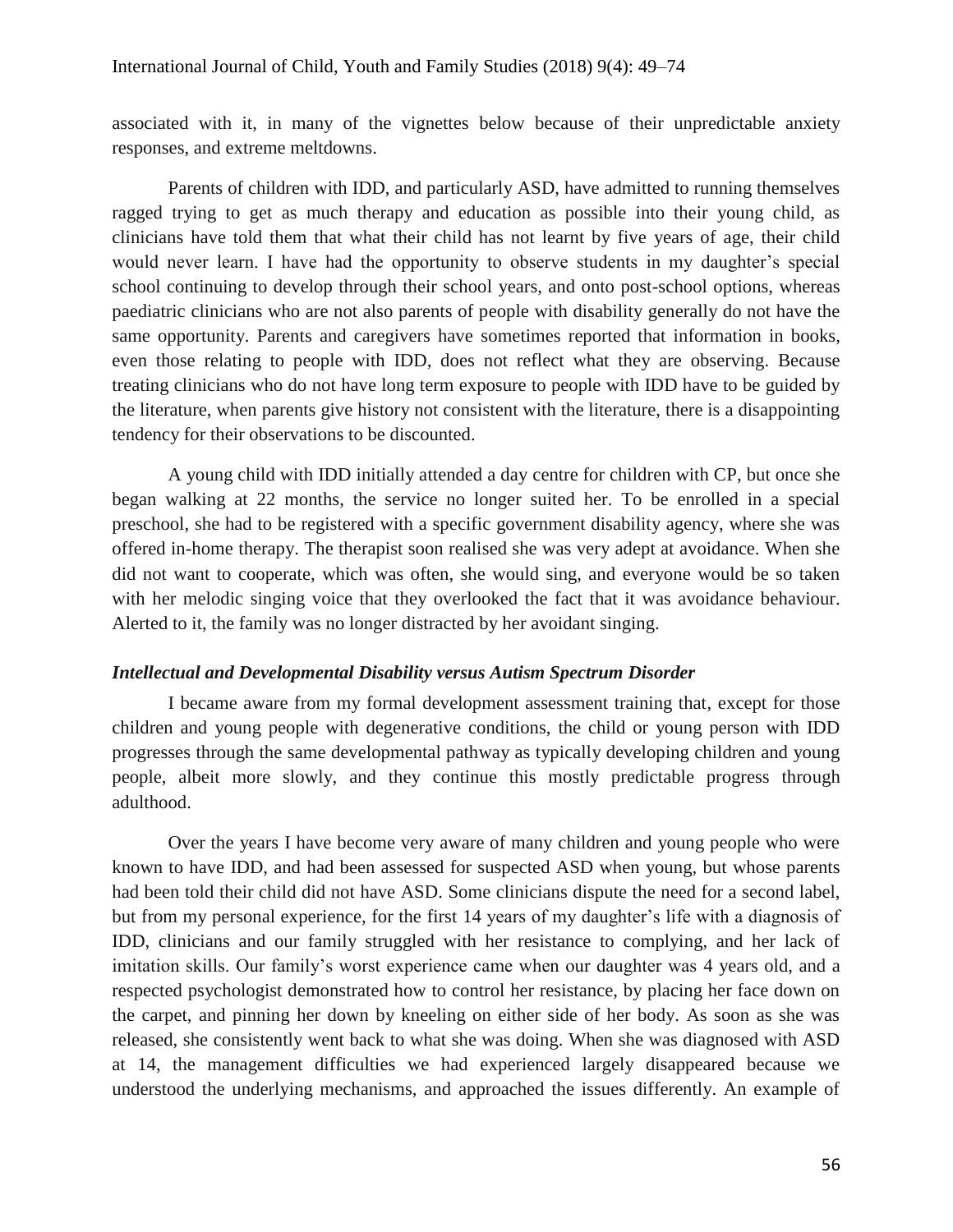associated with it, in many of the vignettes below because of their unpredictable anxiety responses, and extreme meltdowns.

Parents of children with IDD, and particularly ASD, have admitted to running themselves ragged trying to get as much therapy and education as possible into their young child, as clinicians have told them that what their child has not learnt by five years of age, their child would never learn. I have had the opportunity to observe students in my daughter's special school continuing to develop through their school years, and onto post-school options, whereas paediatric clinicians who are not also parents of people with disability generally do not have the same opportunity. Parents and caregivers have sometimes reported that information in books, even those relating to people with IDD, does not reflect what they are observing. Because treating clinicians who do not have long term exposure to people with IDD have to be guided by the literature, when parents give history not consistent with the literature, there is a disappointing tendency for their observations to be discounted.

A young child with IDD initially attended a day centre for children with CP, but once she began walking at 22 months, the service no longer suited her. To be enrolled in a special preschool, she had to be registered with a specific government disability agency, where she was offered in-home therapy. The therapist soon realised she was very adept at avoidance. When she did not want to cooperate, which was often, she would sing, and everyone would be so taken with her melodic singing voice that they overlooked the fact that it was avoidance behaviour. Alerted to it, the family was no longer distracted by her avoidant singing.

# *Intellectual and Developmental Disability versus Autism Spectrum Disorder*

I became aware from my formal development assessment training that, except for those children and young people with degenerative conditions, the child or young person with IDD progresses through the same developmental pathway as typically developing children and young people, albeit more slowly, and they continue this mostly predictable progress through adulthood.

Over the years I have become very aware of many children and young people who were known to have IDD, and had been assessed for suspected ASD when young, but whose parents had been told their child did not have ASD. Some clinicians dispute the need for a second label, but from my personal experience, for the first 14 years of my daughter's life with a diagnosis of IDD, clinicians and our family struggled with her resistance to complying, and her lack of imitation skills. Our family's worst experience came when our daughter was 4 years old, and a respected psychologist demonstrated how to control her resistance, by placing her face down on the carpet, and pinning her down by kneeling on either side of her body. As soon as she was released, she consistently went back to what she was doing. When she was diagnosed with ASD at 14, the management difficulties we had experienced largely disappeared because we understood the underlying mechanisms, and approached the issues differently. An example of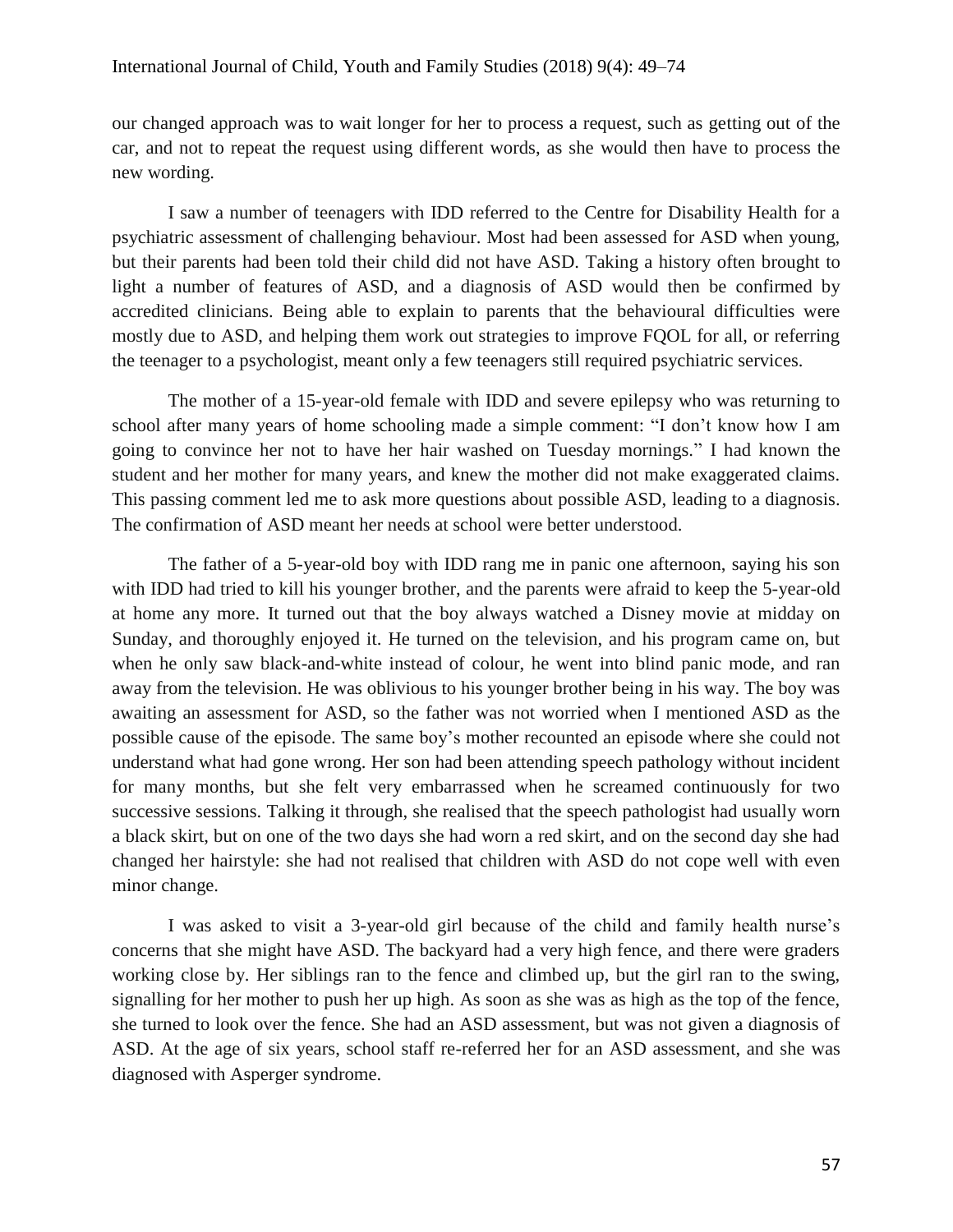our changed approach was to wait longer for her to process a request, such as getting out of the car, and not to repeat the request using different words, as she would then have to process the new wording.

I saw a number of teenagers with IDD referred to the Centre for Disability Health for a psychiatric assessment of challenging behaviour. Most had been assessed for ASD when young, but their parents had been told their child did not have ASD. Taking a history often brought to light a number of features of ASD, and a diagnosis of ASD would then be confirmed by accredited clinicians. Being able to explain to parents that the behavioural difficulties were mostly due to ASD, and helping them work out strategies to improve FQOL for all, or referring the teenager to a psychologist, meant only a few teenagers still required psychiatric services.

The mother of a 15-year-old female with IDD and severe epilepsy who was returning to school after many years of home schooling made a simple comment: "I don't know how I am going to convince her not to have her hair washed on Tuesday mornings." I had known the student and her mother for many years, and knew the mother did not make exaggerated claims. This passing comment led me to ask more questions about possible ASD, leading to a diagnosis. The confirmation of ASD meant her needs at school were better understood.

The father of a 5-year-old boy with IDD rang me in panic one afternoon, saying his son with IDD had tried to kill his younger brother, and the parents were afraid to keep the 5-year-old at home any more. It turned out that the boy always watched a Disney movie at midday on Sunday, and thoroughly enjoyed it. He turned on the television, and his program came on, but when he only saw black-and-white instead of colour, he went into blind panic mode, and ran away from the television. He was oblivious to his younger brother being in his way. The boy was awaiting an assessment for ASD, so the father was not worried when I mentioned ASD as the possible cause of the episode. The same boy's mother recounted an episode where she could not understand what had gone wrong. Her son had been attending speech pathology without incident for many months, but she felt very embarrassed when he screamed continuously for two successive sessions. Talking it through, she realised that the speech pathologist had usually worn a black skirt, but on one of the two days she had worn a red skirt, and on the second day she had changed her hairstyle: she had not realised that children with ASD do not cope well with even minor change.

I was asked to visit a 3-year-old girl because of the child and family health nurse's concerns that she might have ASD. The backyard had a very high fence, and there were graders working close by. Her siblings ran to the fence and climbed up, but the girl ran to the swing, signalling for her mother to push her up high. As soon as she was as high as the top of the fence, she turned to look over the fence. She had an ASD assessment, but was not given a diagnosis of ASD. At the age of six years, school staff re-referred her for an ASD assessment, and she was diagnosed with Asperger syndrome.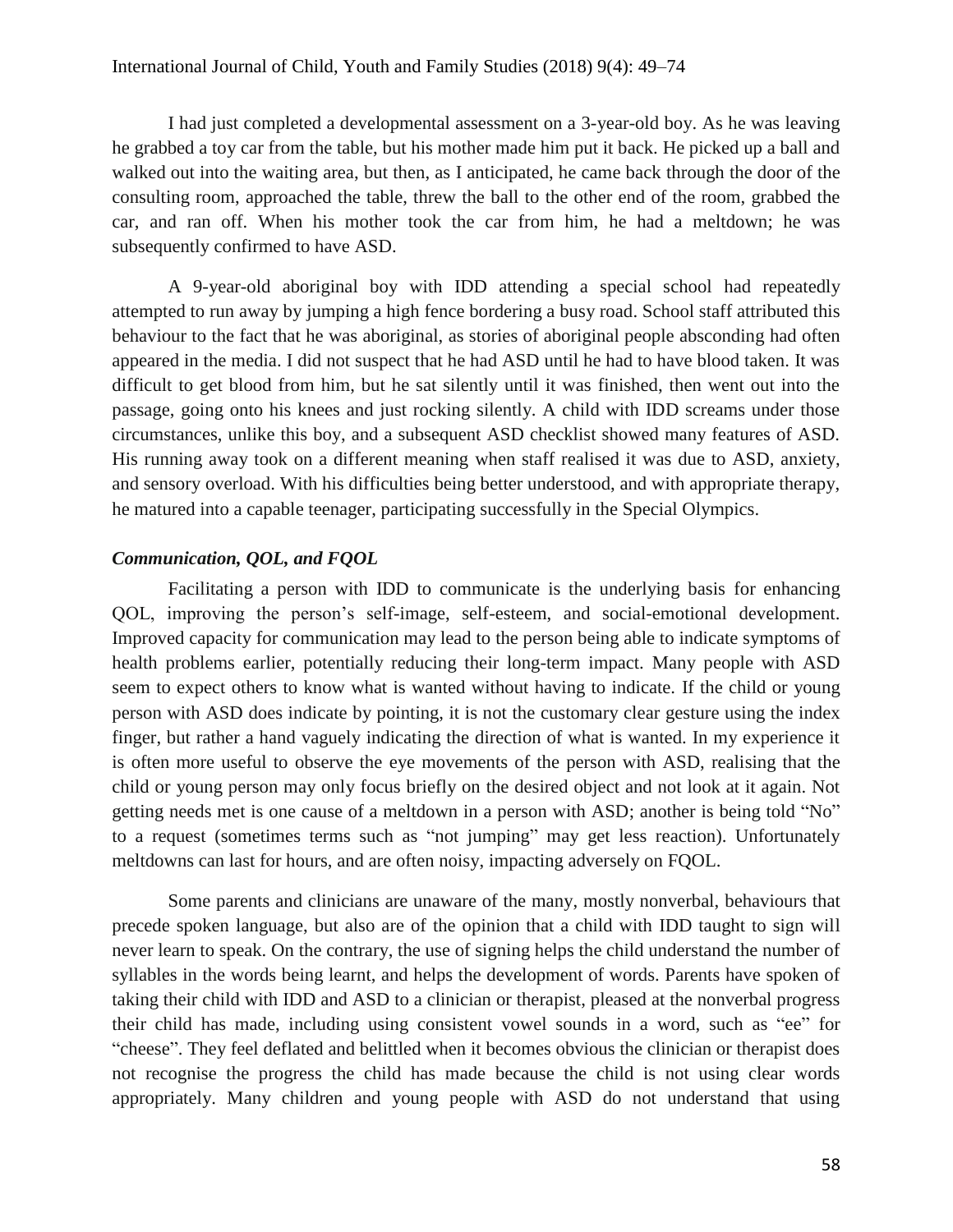I had just completed a developmental assessment on a 3-year-old boy. As he was leaving he grabbed a toy car from the table, but his mother made him put it back. He picked up a ball and walked out into the waiting area, but then, as I anticipated, he came back through the door of the consulting room, approached the table, threw the ball to the other end of the room, grabbed the car, and ran off. When his mother took the car from him, he had a meltdown; he was subsequently confirmed to have ASD.

A 9-year-old aboriginal boy with IDD attending a special school had repeatedly attempted to run away by jumping a high fence bordering a busy road. School staff attributed this behaviour to the fact that he was aboriginal, as stories of aboriginal people absconding had often appeared in the media. I did not suspect that he had ASD until he had to have blood taken. It was difficult to get blood from him, but he sat silently until it was finished, then went out into the passage, going onto his knees and just rocking silently. A child with IDD screams under those circumstances, unlike this boy, and a subsequent ASD checklist showed many features of ASD. His running away took on a different meaning when staff realised it was due to ASD, anxiety, and sensory overload. With his difficulties being better understood, and with appropriate therapy, he matured into a capable teenager, participating successfully in the Special Olympics.

# *Communication, QOL, and FQOL*

Facilitating a person with IDD to communicate is the underlying basis for enhancing QOL, improving the person's self-image, self-esteem, and social-emotional development. Improved capacity for communication may lead to the person being able to indicate symptoms of health problems earlier, potentially reducing their long-term impact. Many people with ASD seem to expect others to know what is wanted without having to indicate. If the child or young person with ASD does indicate by pointing, it is not the customary clear gesture using the index finger, but rather a hand vaguely indicating the direction of what is wanted. In my experience it is often more useful to observe the eye movements of the person with ASD, realising that the child or young person may only focus briefly on the desired object and not look at it again. Not getting needs met is one cause of a meltdown in a person with ASD; another is being told "No" to a request (sometimes terms such as "not jumping" may get less reaction). Unfortunately meltdowns can last for hours, and are often noisy, impacting adversely on FQOL.

Some parents and clinicians are unaware of the many, mostly nonverbal, behaviours that precede spoken language, but also are of the opinion that a child with IDD taught to sign will never learn to speak. On the contrary, the use of signing helps the child understand the number of syllables in the words being learnt, and helps the development of words. Parents have spoken of taking their child with IDD and ASD to a clinician or therapist, pleased at the nonverbal progress their child has made, including using consistent vowel sounds in a word, such as "ee" for "cheese". They feel deflated and belittled when it becomes obvious the clinician or therapist does not recognise the progress the child has made because the child is not using clear words appropriately. Many children and young people with ASD do not understand that using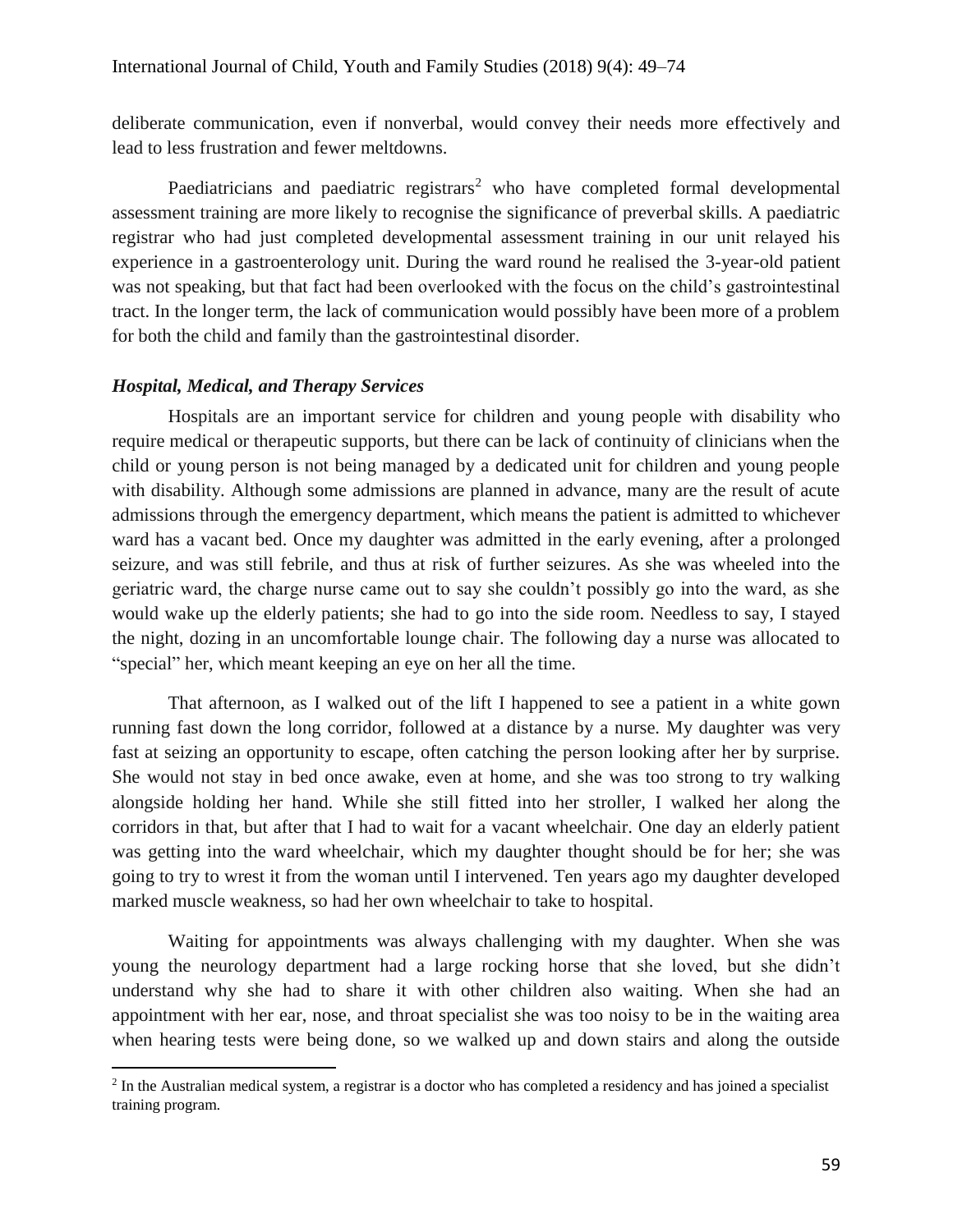deliberate communication, even if nonverbal, would convey their needs more effectively and lead to less frustration and fewer meltdowns.

Paediatricians and paediatric registrars<sup>2</sup> who have completed formal developmental assessment training are more likely to recognise the significance of preverbal skills. A paediatric registrar who had just completed developmental assessment training in our unit relayed his experience in a gastroenterology unit. During the ward round he realised the 3-year-old patient was not speaking, but that fact had been overlooked with the focus on the child's gastrointestinal tract. In the longer term, the lack of communication would possibly have been more of a problem for both the child and family than the gastrointestinal disorder.

# *Hospital, Medical, and Therapy Services*

 $\overline{a}$ 

Hospitals are an important service for children and young people with disability who require medical or therapeutic supports, but there can be lack of continuity of clinicians when the child or young person is not being managed by a dedicated unit for children and young people with disability. Although some admissions are planned in advance, many are the result of acute admissions through the emergency department, which means the patient is admitted to whichever ward has a vacant bed. Once my daughter was admitted in the early evening, after a prolonged seizure, and was still febrile, and thus at risk of further seizures. As she was wheeled into the geriatric ward, the charge nurse came out to say she couldn't possibly go into the ward, as she would wake up the elderly patients; she had to go into the side room. Needless to say, I stayed the night, dozing in an uncomfortable lounge chair. The following day a nurse was allocated to "special" her, which meant keeping an eye on her all the time.

That afternoon, as I walked out of the lift I happened to see a patient in a white gown running fast down the long corridor, followed at a distance by a nurse. My daughter was very fast at seizing an opportunity to escape, often catching the person looking after her by surprise. She would not stay in bed once awake, even at home, and she was too strong to try walking alongside holding her hand. While she still fitted into her stroller, I walked her along the corridors in that, but after that I had to wait for a vacant wheelchair. One day an elderly patient was getting into the ward wheelchair, which my daughter thought should be for her; she was going to try to wrest it from the woman until I intervened. Ten years ago my daughter developed marked muscle weakness, so had her own wheelchair to take to hospital.

Waiting for appointments was always challenging with my daughter. When she was young the neurology department had a large rocking horse that she loved, but she didn't understand why she had to share it with other children also waiting. When she had an appointment with her ear, nose, and throat specialist she was too noisy to be in the waiting area when hearing tests were being done, so we walked up and down stairs and along the outside

 $2$  In the Australian medical system, a registrar is a doctor who has completed a residency and has joined a specialist training program.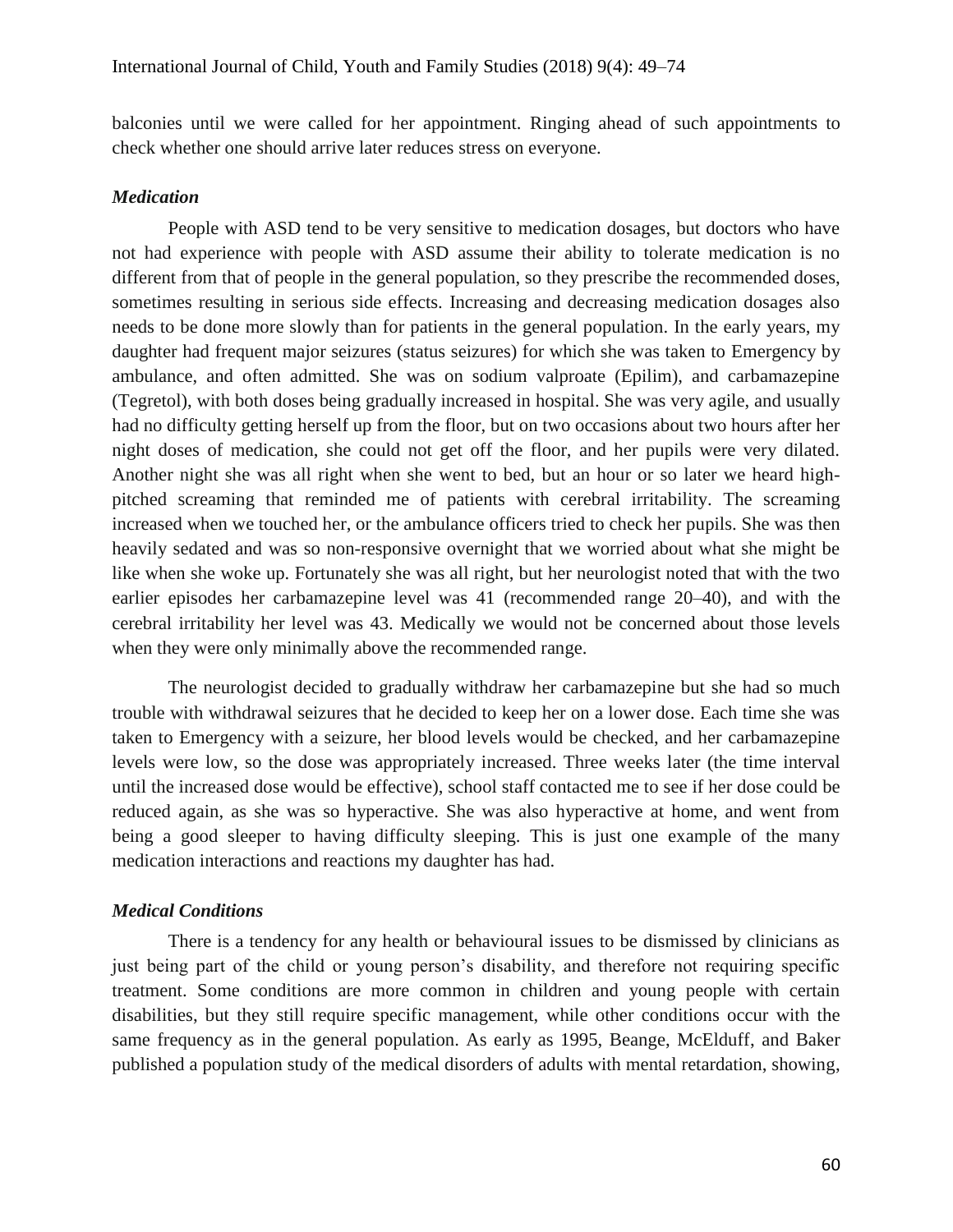balconies until we were called for her appointment. Ringing ahead of such appointments to check whether one should arrive later reduces stress on everyone.

#### *Medication*

People with ASD tend to be very sensitive to medication dosages, but doctors who have not had experience with people with ASD assume their ability to tolerate medication is no different from that of people in the general population, so they prescribe the recommended doses, sometimes resulting in serious side effects. Increasing and decreasing medication dosages also needs to be done more slowly than for patients in the general population. In the early years, my daughter had frequent major seizures (status seizures) for which she was taken to Emergency by ambulance, and often admitted. She was on sodium valproate (Epilim), and carbamazepine (Tegretol), with both doses being gradually increased in hospital. She was very agile, and usually had no difficulty getting herself up from the floor, but on two occasions about two hours after her night doses of medication, she could not get off the floor, and her pupils were very dilated. Another night she was all right when she went to bed, but an hour or so later we heard highpitched screaming that reminded me of patients with cerebral irritability. The screaming increased when we touched her, or the ambulance officers tried to check her pupils. She was then heavily sedated and was so non-responsive overnight that we worried about what she might be like when she woke up. Fortunately she was all right, but her neurologist noted that with the two earlier episodes her carbamazepine level was 41 (recommended range 20–40), and with the cerebral irritability her level was 43. Medically we would not be concerned about those levels when they were only minimally above the recommended range.

The neurologist decided to gradually withdraw her carbamazepine but she had so much trouble with withdrawal seizures that he decided to keep her on a lower dose. Each time she was taken to Emergency with a seizure, her blood levels would be checked, and her carbamazepine levels were low, so the dose was appropriately increased. Three weeks later (the time interval until the increased dose would be effective), school staff contacted me to see if her dose could be reduced again, as she was so hyperactive. She was also hyperactive at home, and went from being a good sleeper to having difficulty sleeping. This is just one example of the many medication interactions and reactions my daughter has had.

#### *Medical Conditions*

There is a tendency for any health or behavioural issues to be dismissed by clinicians as just being part of the child or young person's disability, and therefore not requiring specific treatment. Some conditions are more common in children and young people with certain disabilities, but they still require specific management, while other conditions occur with the same frequency as in the general population. As early as 1995, Beange, McElduff, and Baker published a population study of the medical disorders of adults with mental retardation, showing,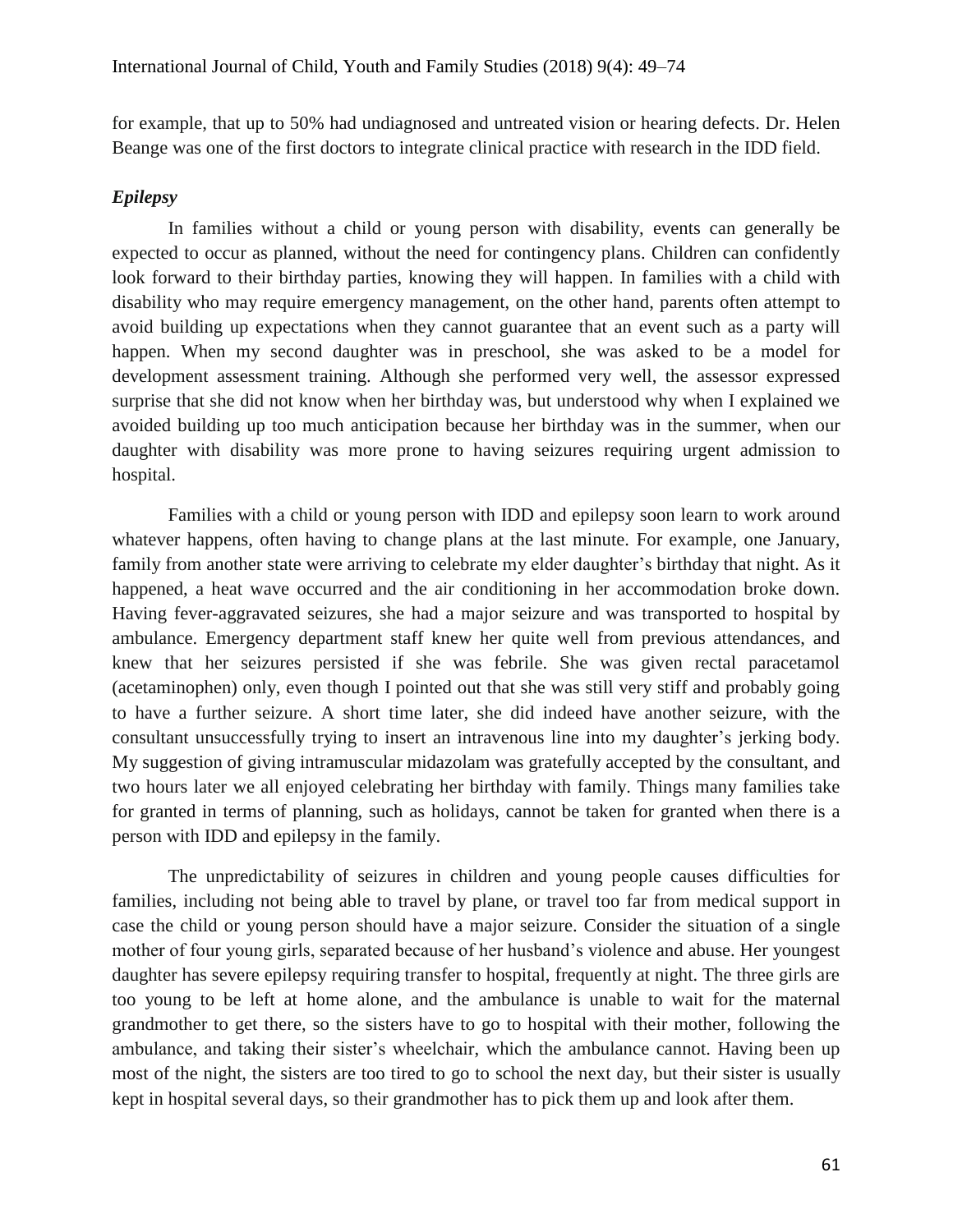for example, that up to 50% had undiagnosed and untreated vision or hearing defects. Dr. Helen Beange was one of the first doctors to integrate clinical practice with research in the IDD field.

# *Epilepsy*

In families without a child or young person with disability, events can generally be expected to occur as planned, without the need for contingency plans. Children can confidently look forward to their birthday parties, knowing they will happen. In families with a child with disability who may require emergency management, on the other hand, parents often attempt to avoid building up expectations when they cannot guarantee that an event such as a party will happen. When my second daughter was in preschool, she was asked to be a model for development assessment training. Although she performed very well, the assessor expressed surprise that she did not know when her birthday was, but understood why when I explained we avoided building up too much anticipation because her birthday was in the summer, when our daughter with disability was more prone to having seizures requiring urgent admission to hospital.

Families with a child or young person with IDD and epilepsy soon learn to work around whatever happens, often having to change plans at the last minute. For example, one January, family from another state were arriving to celebrate my elder daughter's birthday that night. As it happened, a heat wave occurred and the air conditioning in her accommodation broke down. Having fever-aggravated seizures, she had a major seizure and was transported to hospital by ambulance. Emergency department staff knew her quite well from previous attendances, and knew that her seizures persisted if she was febrile. She was given rectal paracetamol (acetaminophen) only, even though I pointed out that she was still very stiff and probably going to have a further seizure. A short time later, she did indeed have another seizure, with the consultant unsuccessfully trying to insert an intravenous line into my daughter's jerking body. My suggestion of giving intramuscular midazolam was gratefully accepted by the consultant, and two hours later we all enjoyed celebrating her birthday with family. Things many families take for granted in terms of planning, such as holidays, cannot be taken for granted when there is a person with IDD and epilepsy in the family.

The unpredictability of seizures in children and young people causes difficulties for families, including not being able to travel by plane, or travel too far from medical support in case the child or young person should have a major seizure. Consider the situation of a single mother of four young girls, separated because of her husband's violence and abuse. Her youngest daughter has severe epilepsy requiring transfer to hospital, frequently at night. The three girls are too young to be left at home alone, and the ambulance is unable to wait for the maternal grandmother to get there, so the sisters have to go to hospital with their mother, following the ambulance, and taking their sister's wheelchair, which the ambulance cannot. Having been up most of the night, the sisters are too tired to go to school the next day, but their sister is usually kept in hospital several days, so their grandmother has to pick them up and look after them.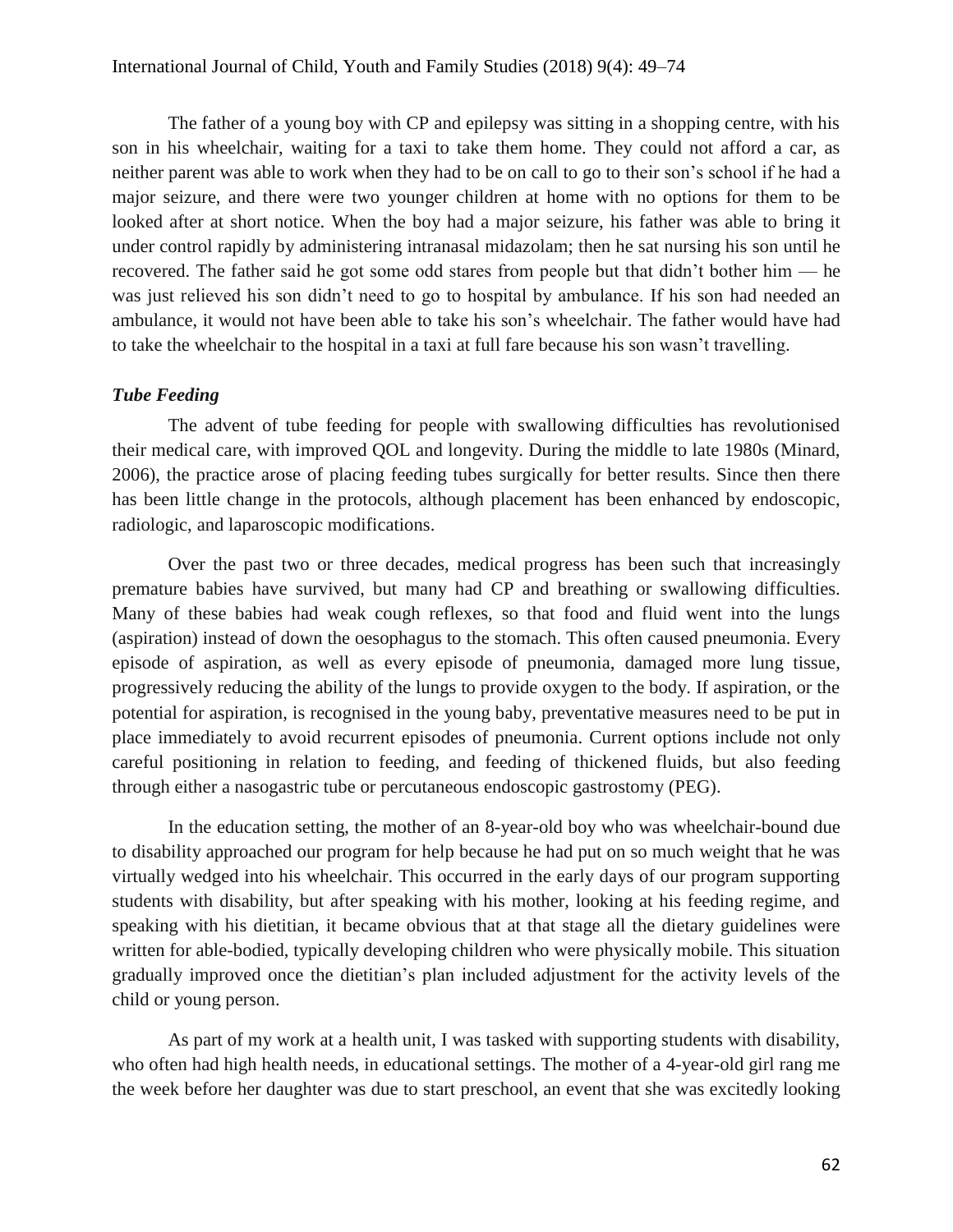The father of a young boy with CP and epilepsy was sitting in a shopping centre, with his son in his wheelchair, waiting for a taxi to take them home. They could not afford a car, as neither parent was able to work when they had to be on call to go to their son's school if he had a major seizure, and there were two younger children at home with no options for them to be looked after at short notice. When the boy had a major seizure, his father was able to bring it under control rapidly by administering intranasal midazolam; then he sat nursing his son until he recovered. The father said he got some odd stares from people but that didn't bother him — he was just relieved his son didn't need to go to hospital by ambulance. If his son had needed an ambulance, it would not have been able to take his son's wheelchair. The father would have had to take the wheelchair to the hospital in a taxi at full fare because his son wasn't travelling.

#### *Tube Feeding*

The advent of tube feeding for people with swallowing difficulties has revolutionised their medical care, with improved QOL and longevity. During the middle to late 1980s (Minard, 2006), the practice arose of placing feeding tubes surgically for better results. Since then there has been little change in the protocols, although placement has been enhanced by endoscopic, radiologic, and laparoscopic modifications.

Over the past two or three decades, medical progress has been such that increasingly premature babies have survived, but many had CP and breathing or swallowing difficulties. Many of these babies had weak cough reflexes, so that food and fluid went into the lungs (aspiration) instead of down the oesophagus to the stomach. This often caused pneumonia. Every episode of aspiration, as well as every episode of pneumonia, damaged more lung tissue, progressively reducing the ability of the lungs to provide oxygen to the body. If aspiration, or the potential for aspiration, is recognised in the young baby, preventative measures need to be put in place immediately to avoid recurrent episodes of pneumonia. Current options include not only careful positioning in relation to feeding, and feeding of thickened fluids, but also feeding through either a nasogastric tube or percutaneous endoscopic gastrostomy (PEG).

In the education setting, the mother of an 8-year-old boy who was wheelchair-bound due to disability approached our program for help because he had put on so much weight that he was virtually wedged into his wheelchair. This occurred in the early days of our program supporting students with disability, but after speaking with his mother, looking at his feeding regime, and speaking with his dietitian, it became obvious that at that stage all the dietary guidelines were written for able-bodied, typically developing children who were physically mobile. This situation gradually improved once the dietitian's plan included adjustment for the activity levels of the child or young person.

As part of my work at a health unit, I was tasked with supporting students with disability, who often had high health needs, in educational settings. The mother of a 4-year-old girl rang me the week before her daughter was due to start preschool, an event that she was excitedly looking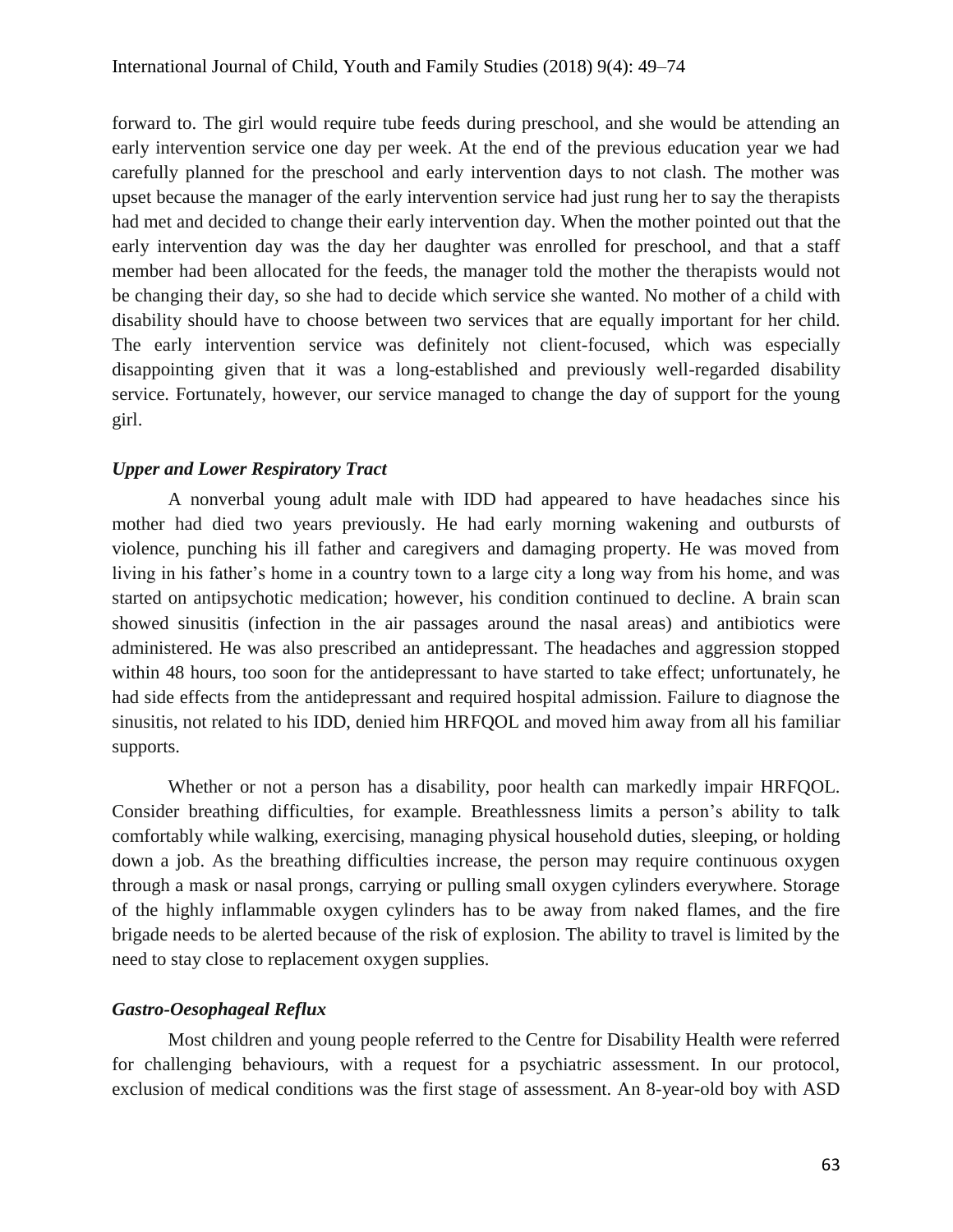forward to. The girl would require tube feeds during preschool, and she would be attending an early intervention service one day per week. At the end of the previous education year we had carefully planned for the preschool and early intervention days to not clash. The mother was upset because the manager of the early intervention service had just rung her to say the therapists had met and decided to change their early intervention day. When the mother pointed out that the early intervention day was the day her daughter was enrolled for preschool, and that a staff member had been allocated for the feeds, the manager told the mother the therapists would not be changing their day, so she had to decide which service she wanted. No mother of a child with disability should have to choose between two services that are equally important for her child. The early intervention service was definitely not client-focused, which was especially disappointing given that it was a long-established and previously well-regarded disability service. Fortunately, however, our service managed to change the day of support for the young girl.

# *Upper and Lower Respiratory Tract*

A nonverbal young adult male with IDD had appeared to have headaches since his mother had died two years previously. He had early morning wakening and outbursts of violence, punching his ill father and caregivers and damaging property. He was moved from living in his father's home in a country town to a large city a long way from his home, and was started on antipsychotic medication; however, his condition continued to decline. A brain scan showed sinusitis (infection in the air passages around the nasal areas) and antibiotics were administered. He was also prescribed an antidepressant. The headaches and aggression stopped within 48 hours, too soon for the antidepressant to have started to take effect; unfortunately, he had side effects from the antidepressant and required hospital admission. Failure to diagnose the sinusitis, not related to his IDD, denied him HRFQOL and moved him away from all his familiar supports.

Whether or not a person has a disability, poor health can markedly impair HRFQOL. Consider breathing difficulties, for example. Breathlessness limits a person's ability to talk comfortably while walking, exercising, managing physical household duties, sleeping, or holding down a job. As the breathing difficulties increase, the person may require continuous oxygen through a mask or nasal prongs, carrying or pulling small oxygen cylinders everywhere. Storage of the highly inflammable oxygen cylinders has to be away from naked flames, and the fire brigade needs to be alerted because of the risk of explosion. The ability to travel is limited by the need to stay close to replacement oxygen supplies.

# *Gastro-Oesophageal Reflux*

Most children and young people referred to the Centre for Disability Health were referred for challenging behaviours, with a request for a psychiatric assessment. In our protocol, exclusion of medical conditions was the first stage of assessment. An 8-year-old boy with ASD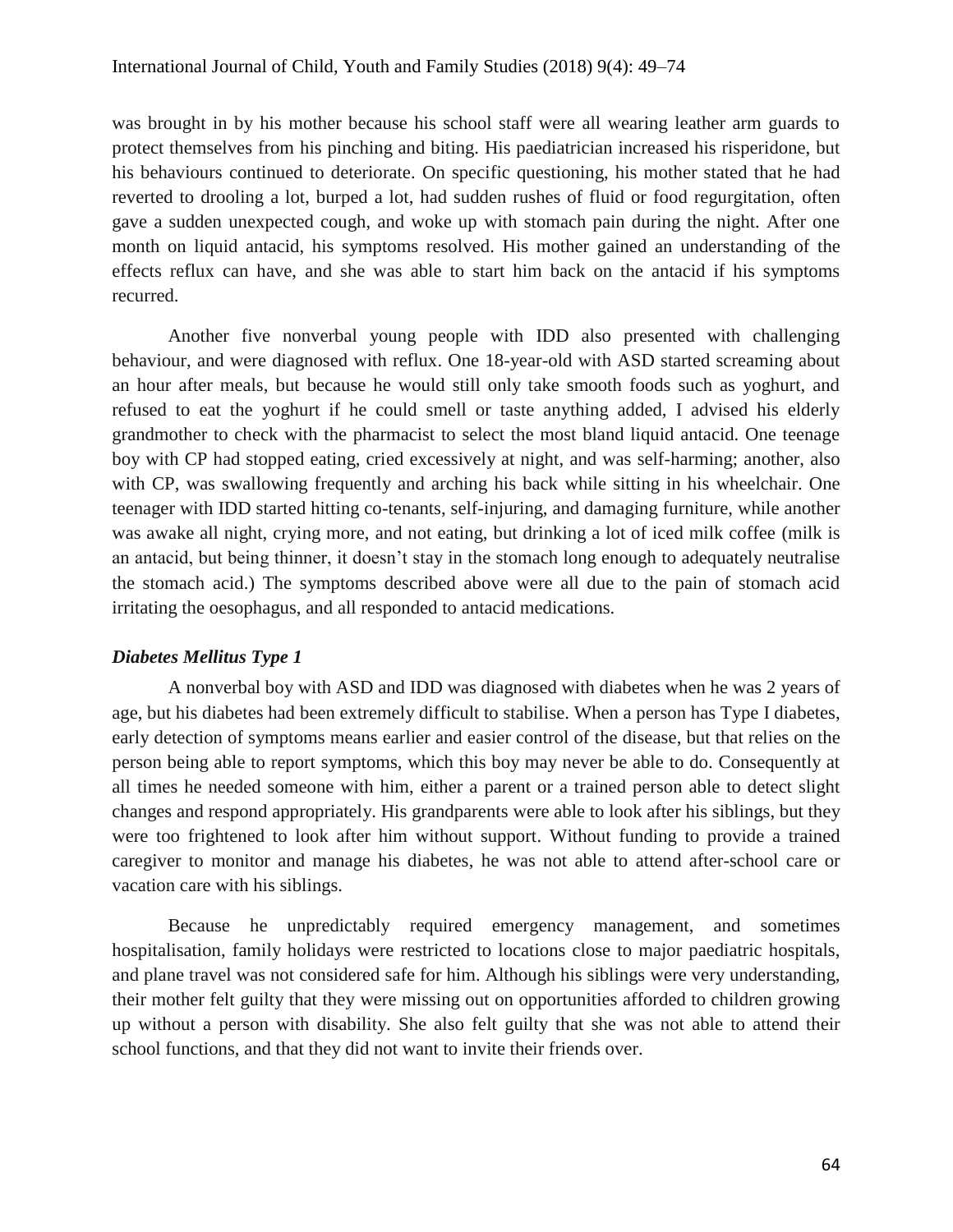was brought in by his mother because his school staff were all wearing leather arm guards to protect themselves from his pinching and biting. His paediatrician increased his risperidone, but his behaviours continued to deteriorate. On specific questioning, his mother stated that he had reverted to drooling a lot, burped a lot, had sudden rushes of fluid or food regurgitation, often gave a sudden unexpected cough, and woke up with stomach pain during the night. After one month on liquid antacid, his symptoms resolved. His mother gained an understanding of the effects reflux can have, and she was able to start him back on the antacid if his symptoms recurred.

Another five nonverbal young people with IDD also presented with challenging behaviour, and were diagnosed with reflux. One 18-year-old with ASD started screaming about an hour after meals, but because he would still only take smooth foods such as yoghurt, and refused to eat the yoghurt if he could smell or taste anything added, I advised his elderly grandmother to check with the pharmacist to select the most bland liquid antacid. One teenage boy with CP had stopped eating, cried excessively at night, and was self-harming; another, also with CP, was swallowing frequently and arching his back while sitting in his wheelchair. One teenager with IDD started hitting co-tenants, self-injuring, and damaging furniture, while another was awake all night, crying more, and not eating, but drinking a lot of iced milk coffee (milk is an antacid, but being thinner, it doesn't stay in the stomach long enough to adequately neutralise the stomach acid.) The symptoms described above were all due to the pain of stomach acid irritating the oesophagus, and all responded to antacid medications.

#### *Diabetes Mellitus Type 1*

A nonverbal boy with ASD and IDD was diagnosed with diabetes when he was 2 years of age, but his diabetes had been extremely difficult to stabilise. When a person has Type I diabetes, early detection of symptoms means earlier and easier control of the disease, but that relies on the person being able to report symptoms, which this boy may never be able to do. Consequently at all times he needed someone with him, either a parent or a trained person able to detect slight changes and respond appropriately. His grandparents were able to look after his siblings, but they were too frightened to look after him without support. Without funding to provide a trained caregiver to monitor and manage his diabetes, he was not able to attend after-school care or vacation care with his siblings.

Because he unpredictably required emergency management, and sometimes hospitalisation, family holidays were restricted to locations close to major paediatric hospitals, and plane travel was not considered safe for him. Although his siblings were very understanding, their mother felt guilty that they were missing out on opportunities afforded to children growing up without a person with disability. She also felt guilty that she was not able to attend their school functions, and that they did not want to invite their friends over.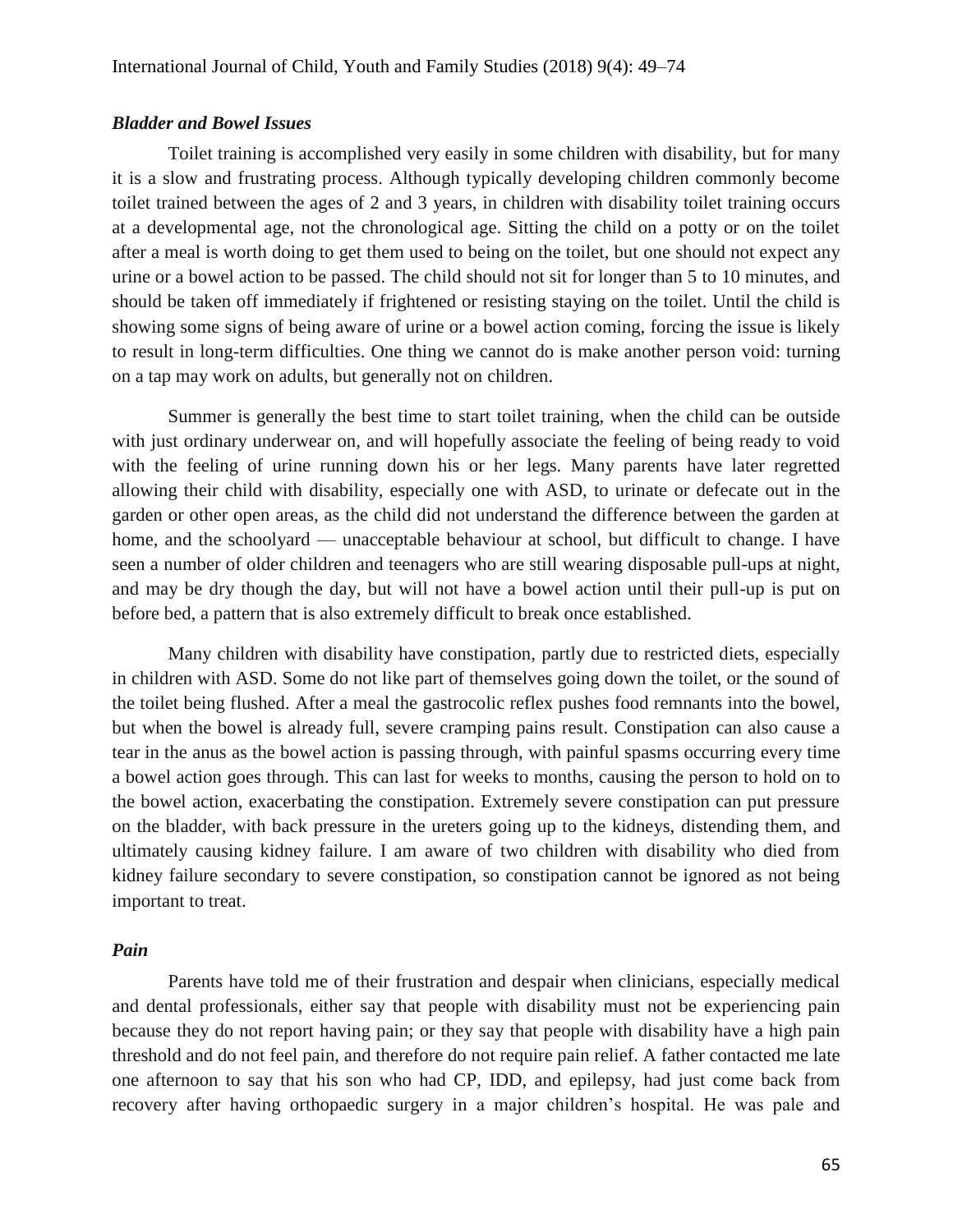### *Bladder and Bowel Issues*

Toilet training is accomplished very easily in some children with disability, but for many it is a slow and frustrating process. Although typically developing children commonly become toilet trained between the ages of 2 and 3 years, in children with disability toilet training occurs at a developmental age, not the chronological age. Sitting the child on a potty or on the toilet after a meal is worth doing to get them used to being on the toilet, but one should not expect any urine or a bowel action to be passed. The child should not sit for longer than 5 to 10 minutes, and should be taken off immediately if frightened or resisting staying on the toilet. Until the child is showing some signs of being aware of urine or a bowel action coming, forcing the issue is likely to result in long-term difficulties. One thing we cannot do is make another person void: turning on a tap may work on adults, but generally not on children.

Summer is generally the best time to start toilet training, when the child can be outside with just ordinary underwear on, and will hopefully associate the feeling of being ready to void with the feeling of urine running down his or her legs. Many parents have later regretted allowing their child with disability, especially one with ASD, to urinate or defecate out in the garden or other open areas, as the child did not understand the difference between the garden at home, and the schoolyard — unacceptable behaviour at school, but difficult to change. I have seen a number of older children and teenagers who are still wearing disposable pull-ups at night, and may be dry though the day, but will not have a bowel action until their pull-up is put on before bed, a pattern that is also extremely difficult to break once established.

Many children with disability have constipation, partly due to restricted diets, especially in children with ASD. Some do not like part of themselves going down the toilet, or the sound of the toilet being flushed. After a meal the gastrocolic reflex pushes food remnants into the bowel, but when the bowel is already full, severe cramping pains result. Constipation can also cause a tear in the anus as the bowel action is passing through, with painful spasms occurring every time a bowel action goes through. This can last for weeks to months, causing the person to hold on to the bowel action, exacerbating the constipation. Extremely severe constipation can put pressure on the bladder, with back pressure in the ureters going up to the kidneys, distending them, and ultimately causing kidney failure. I am aware of two children with disability who died from kidney failure secondary to severe constipation, so constipation cannot be ignored as not being important to treat.

### *Pain*

Parents have told me of their frustration and despair when clinicians, especially medical and dental professionals, either say that people with disability must not be experiencing pain because they do not report having pain; or they say that people with disability have a high pain threshold and do not feel pain, and therefore do not require pain relief. A father contacted me late one afternoon to say that his son who had CP, IDD, and epilepsy, had just come back from recovery after having orthopaedic surgery in a major children's hospital. He was pale and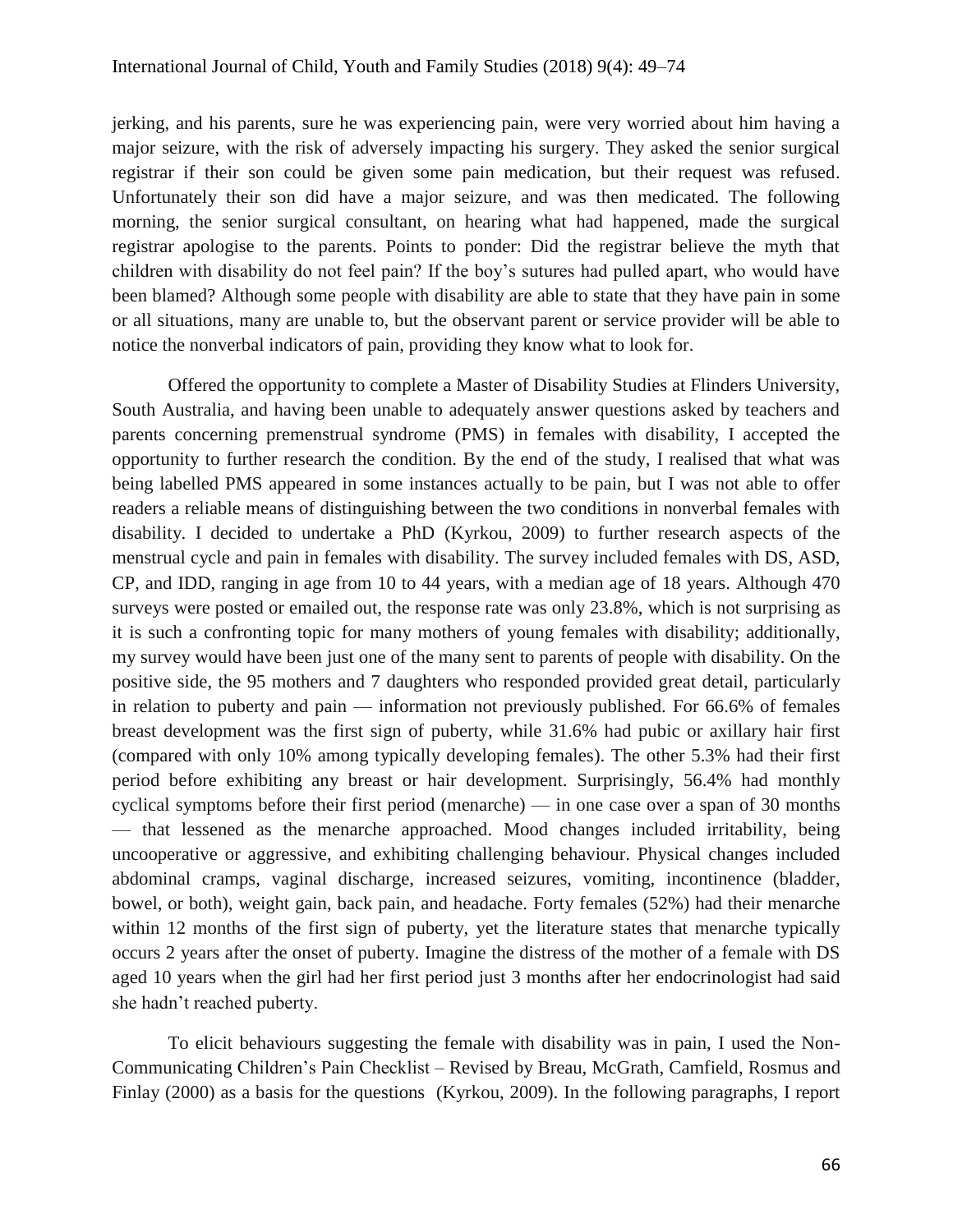jerking, and his parents, sure he was experiencing pain, were very worried about him having a major seizure, with the risk of adversely impacting his surgery. They asked the senior surgical registrar if their son could be given some pain medication, but their request was refused. Unfortunately their son did have a major seizure, and was then medicated. The following morning, the senior surgical consultant, on hearing what had happened, made the surgical registrar apologise to the parents. Points to ponder: Did the registrar believe the myth that children with disability do not feel pain? If the boy's sutures had pulled apart, who would have been blamed? Although some people with disability are able to state that they have pain in some or all situations, many are unable to, but the observant parent or service provider will be able to notice the nonverbal indicators of pain, providing they know what to look for.

Offered the opportunity to complete a Master of Disability Studies at Flinders University, South Australia, and having been unable to adequately answer questions asked by teachers and parents concerning premenstrual syndrome (PMS) in females with disability, I accepted the opportunity to further research the condition. By the end of the study, I realised that what was being labelled PMS appeared in some instances actually to be pain, but I was not able to offer readers a reliable means of distinguishing between the two conditions in nonverbal females with disability. I decided to undertake a PhD (Kyrkou, 2009) to further research aspects of the menstrual cycle and pain in females with disability. The survey included females with DS, ASD, CP, and IDD, ranging in age from 10 to 44 years, with a median age of 18 years. Although 470 surveys were posted or emailed out, the response rate was only 23.8%, which is not surprising as it is such a confronting topic for many mothers of young females with disability; additionally, my survey would have been just one of the many sent to parents of people with disability. On the positive side, the 95 mothers and 7 daughters who responded provided great detail, particularly in relation to puberty and pain — information not previously published. For 66.6% of females breast development was the first sign of puberty, while 31.6% had pubic or axillary hair first (compared with only 10% among typically developing females). The other 5.3% had their first period before exhibiting any breast or hair development. Surprisingly, 56.4% had monthly cyclical symptoms before their first period (menarche) — in one case over a span of 30 months — that lessened as the menarche approached. Mood changes included irritability, being uncooperative or aggressive, and exhibiting challenging behaviour. Physical changes included abdominal cramps, vaginal discharge, increased seizures, vomiting, incontinence (bladder, bowel, or both), weight gain, back pain, and headache. Forty females (52%) had their menarche within 12 months of the first sign of puberty, yet the literature states that menarche typically occurs 2 years after the onset of puberty. Imagine the distress of the mother of a female with DS aged 10 years when the girl had her first period just 3 months after her endocrinologist had said she hadn't reached puberty.

To elicit behaviours suggesting the female with disability was in pain, I used the Non-Communicating Children's Pain Checklist – Revised by Breau, McGrath, Camfield, Rosmus and Finlay (2000) as a basis for the questions (Kyrkou, 2009). In the following paragraphs, I report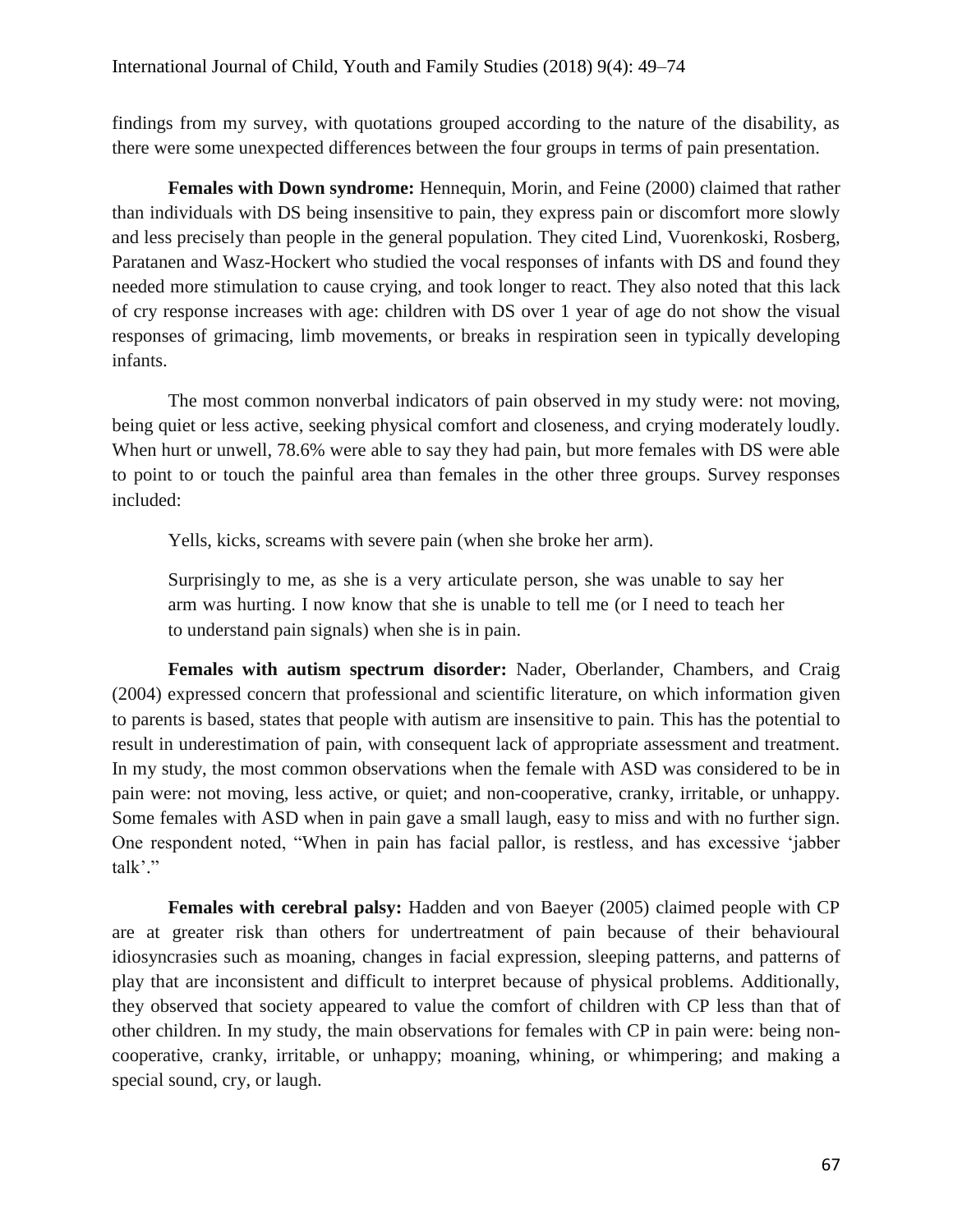findings from my survey, with quotations grouped according to the nature of the disability, as there were some unexpected differences between the four groups in terms of pain presentation.

**Females with Down syndrome:** Hennequin, Morin, and Feine (2000) claimed that rather than individuals with DS being insensitive to pain, they express pain or discomfort more slowly and less precisely than people in the general population. They cited Lind, Vuorenkoski, Rosberg, Paratanen and Wasz-Hockert who studied the vocal responses of infants with DS and found they needed more stimulation to cause crying, and took longer to react. They also noted that this lack of cry response increases with age: children with DS over 1 year of age do not show the visual responses of grimacing, limb movements, or breaks in respiration seen in typically developing infants.

The most common nonverbal indicators of pain observed in my study were: not moving, being quiet or less active, seeking physical comfort and closeness, and crying moderately loudly. When hurt or unwell, 78.6% were able to say they had pain, but more females with DS were able to point to or touch the painful area than females in the other three groups. Survey responses included:

Yells, kicks, screams with severe pain (when she broke her arm).

Surprisingly to me, as she is a very articulate person, she was unable to say her arm was hurting. I now know that she is unable to tell me (or I need to teach her to understand pain signals) when she is in pain.

**Females with autism spectrum disorder:** Nader, Oberlander, Chambers, and Craig (2004) expressed concern that professional and scientific literature, on which information given to parents is based, states that people with autism are insensitive to pain. This has the potential to result in underestimation of pain, with consequent lack of appropriate assessment and treatment. In my study, the most common observations when the female with ASD was considered to be in pain were: not moving, less active, or quiet; and non-cooperative, cranky, irritable, or unhappy. Some females with ASD when in pain gave a small laugh, easy to miss and with no further sign. One respondent noted, "When in pain has facial pallor, is restless, and has excessive 'jabber talk'."

**Females with cerebral palsy:** Hadden and von Baeyer (2005) claimed people with CP are at greater risk than others for undertreatment of pain because of their behavioural idiosyncrasies such as moaning, changes in facial expression, sleeping patterns, and patterns of play that are inconsistent and difficult to interpret because of physical problems. Additionally, they observed that society appeared to value the comfort of children with CP less than that of other children. In my study, the main observations for females with CP in pain were: being noncooperative, cranky, irritable, or unhappy; moaning, whining, or whimpering; and making a special sound, cry, or laugh.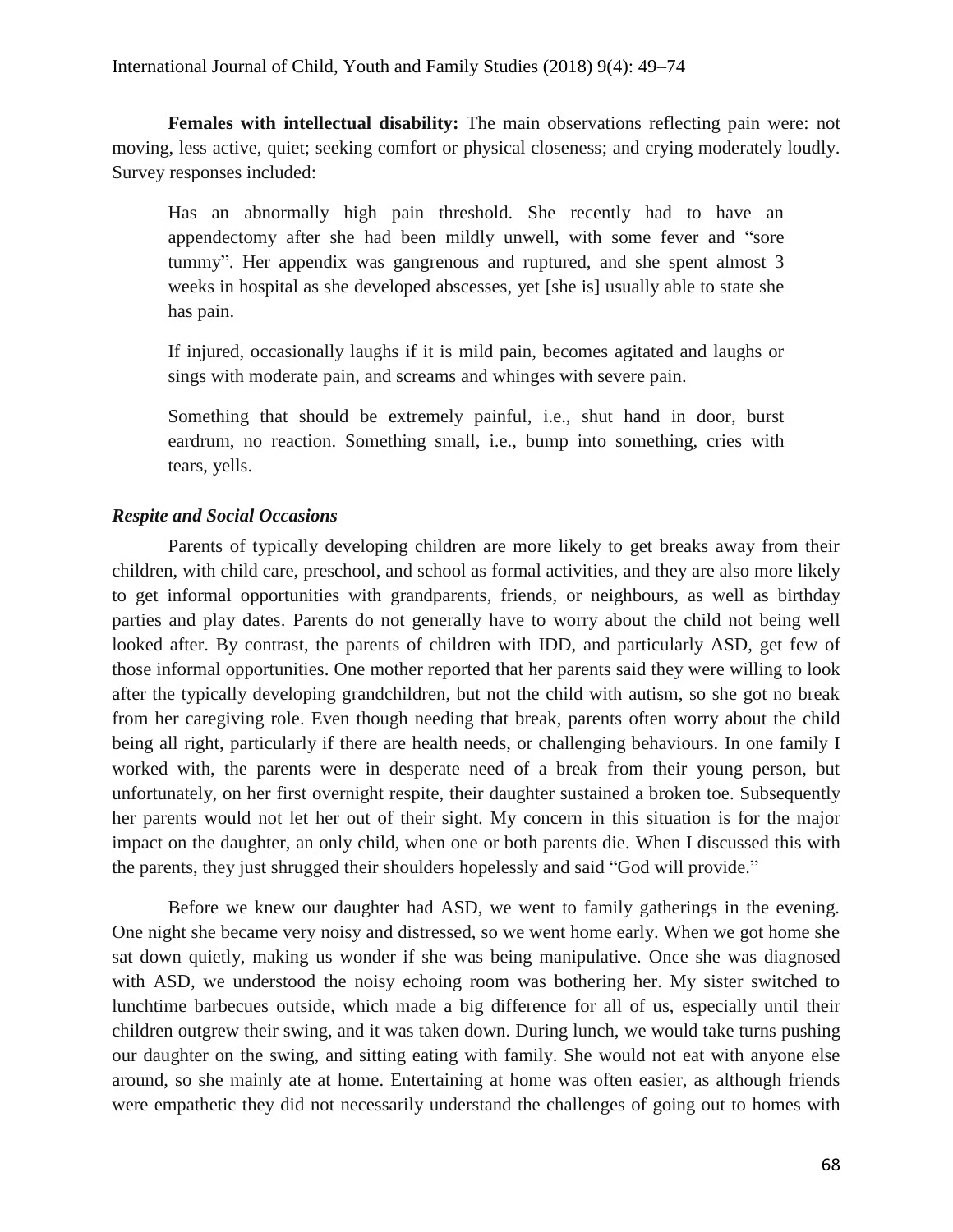**Females with intellectual disability:** The main observations reflecting pain were: not moving, less active, quiet; seeking comfort or physical closeness; and crying moderately loudly. Survey responses included:

Has an abnormally high pain threshold. She recently had to have an appendectomy after she had been mildly unwell, with some fever and "sore tummy". Her appendix was gangrenous and ruptured, and she spent almost 3 weeks in hospital as she developed abscesses, yet [she is] usually able to state she has pain.

If injured, occasionally laughs if it is mild pain, becomes agitated and laughs or sings with moderate pain, and screams and whinges with severe pain.

Something that should be extremely painful, i.e., shut hand in door, burst eardrum, no reaction. Something small, i.e., bump into something, cries with tears, yells.

# *Respite and Social Occasions*

Parents of typically developing children are more likely to get breaks away from their children, with child care, preschool, and school as formal activities, and they are also more likely to get informal opportunities with grandparents, friends, or neighbours, as well as birthday parties and play dates. Parents do not generally have to worry about the child not being well looked after. By contrast, the parents of children with IDD, and particularly ASD, get few of those informal opportunities. One mother reported that her parents said they were willing to look after the typically developing grandchildren, but not the child with autism, so she got no break from her caregiving role. Even though needing that break, parents often worry about the child being all right, particularly if there are health needs, or challenging behaviours. In one family I worked with, the parents were in desperate need of a break from their young person, but unfortunately, on her first overnight respite, their daughter sustained a broken toe. Subsequently her parents would not let her out of their sight. My concern in this situation is for the major impact on the daughter, an only child, when one or both parents die. When I discussed this with the parents, they just shrugged their shoulders hopelessly and said "God will provide."

Before we knew our daughter had ASD, we went to family gatherings in the evening. One night she became very noisy and distressed, so we went home early. When we got home she sat down quietly, making us wonder if she was being manipulative. Once she was diagnosed with ASD, we understood the noisy echoing room was bothering her. My sister switched to lunchtime barbecues outside, which made a big difference for all of us, especially until their children outgrew their swing, and it was taken down. During lunch, we would take turns pushing our daughter on the swing, and sitting eating with family. She would not eat with anyone else around, so she mainly ate at home. Entertaining at home was often easier, as although friends were empathetic they did not necessarily understand the challenges of going out to homes with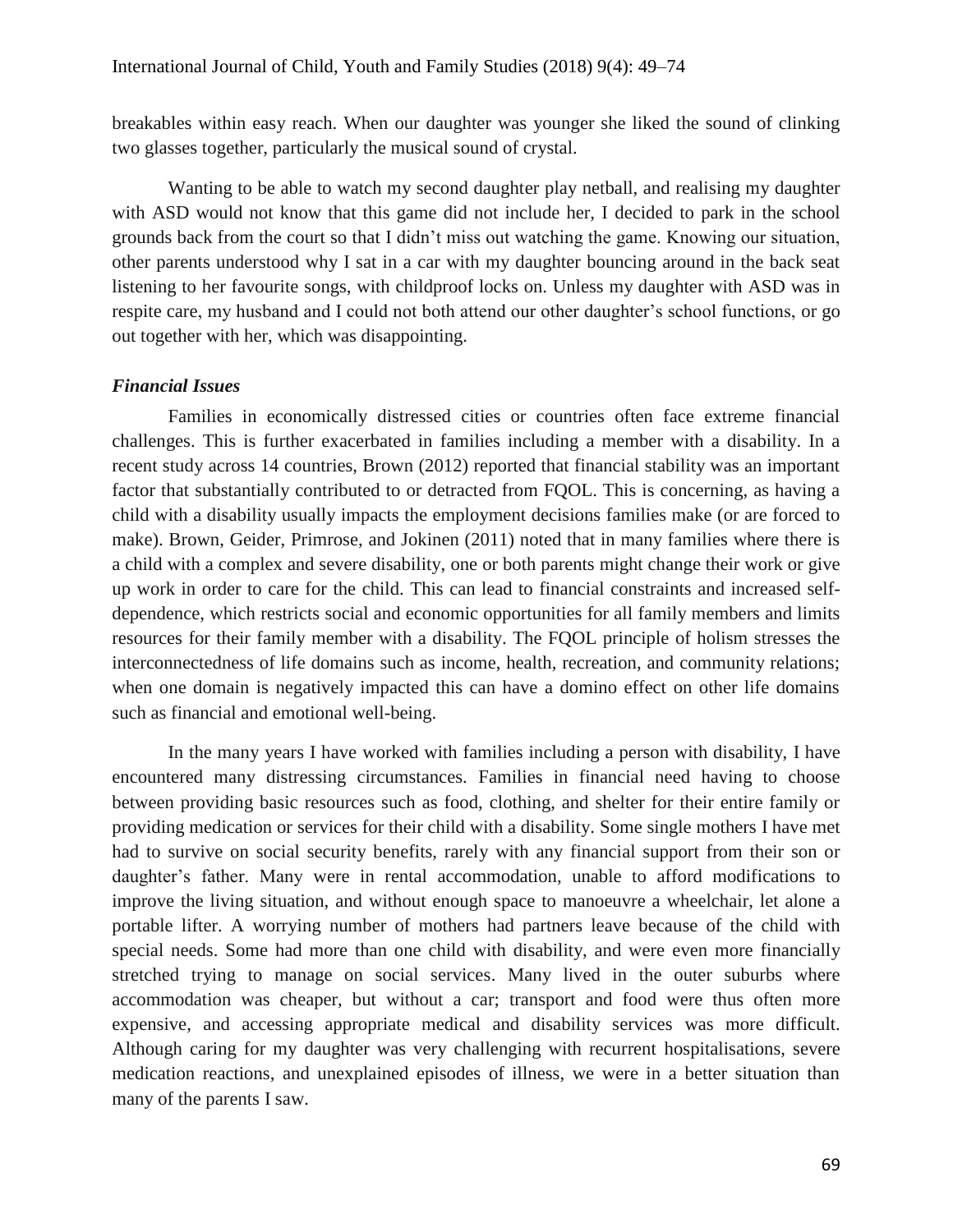breakables within easy reach. When our daughter was younger she liked the sound of clinking two glasses together, particularly the musical sound of crystal.

Wanting to be able to watch my second daughter play netball, and realising my daughter with ASD would not know that this game did not include her, I decided to park in the school grounds back from the court so that I didn't miss out watching the game. Knowing our situation, other parents understood why I sat in a car with my daughter bouncing around in the back seat listening to her favourite songs, with childproof locks on. Unless my daughter with ASD was in respite care, my husband and I could not both attend our other daughter's school functions, or go out together with her, which was disappointing.

# *Financial Issues*

Families in economically distressed cities or countries often face extreme financial challenges. This is further exacerbated in families including a member with a disability. In a recent study across 14 countries, Brown (2012) reported that financial stability was an important factor that substantially contributed to or detracted from FQOL. This is concerning, as having a child with a disability usually impacts the employment decisions families make (or are forced to make). Brown, Geider, Primrose, and Jokinen (2011) noted that in many families where there is a child with a complex and severe disability, one or both parents might change their work or give up work in order to care for the child. This can lead to financial constraints and increased selfdependence, which restricts social and economic opportunities for all family members and limits resources for their family member with a disability. The FQOL principle of holism stresses the interconnectedness of life domains such as income, health, recreation, and community relations; when one domain is negatively impacted this can have a domino effect on other life domains such as financial and emotional well-being.

In the many years I have worked with families including a person with disability, I have encountered many distressing circumstances. Families in financial need having to choose between providing basic resources such as food, clothing, and shelter for their entire family or providing medication or services for their child with a disability. Some single mothers I have met had to survive on social security benefits, rarely with any financial support from their son or daughter's father. Many were in rental accommodation, unable to afford modifications to improve the living situation, and without enough space to manoeuvre a wheelchair, let alone a portable lifter. A worrying number of mothers had partners leave because of the child with special needs. Some had more than one child with disability, and were even more financially stretched trying to manage on social services. Many lived in the outer suburbs where accommodation was cheaper, but without a car; transport and food were thus often more expensive, and accessing appropriate medical and disability services was more difficult. Although caring for my daughter was very challenging with recurrent hospitalisations, severe medication reactions, and unexplained episodes of illness, we were in a better situation than many of the parents I saw.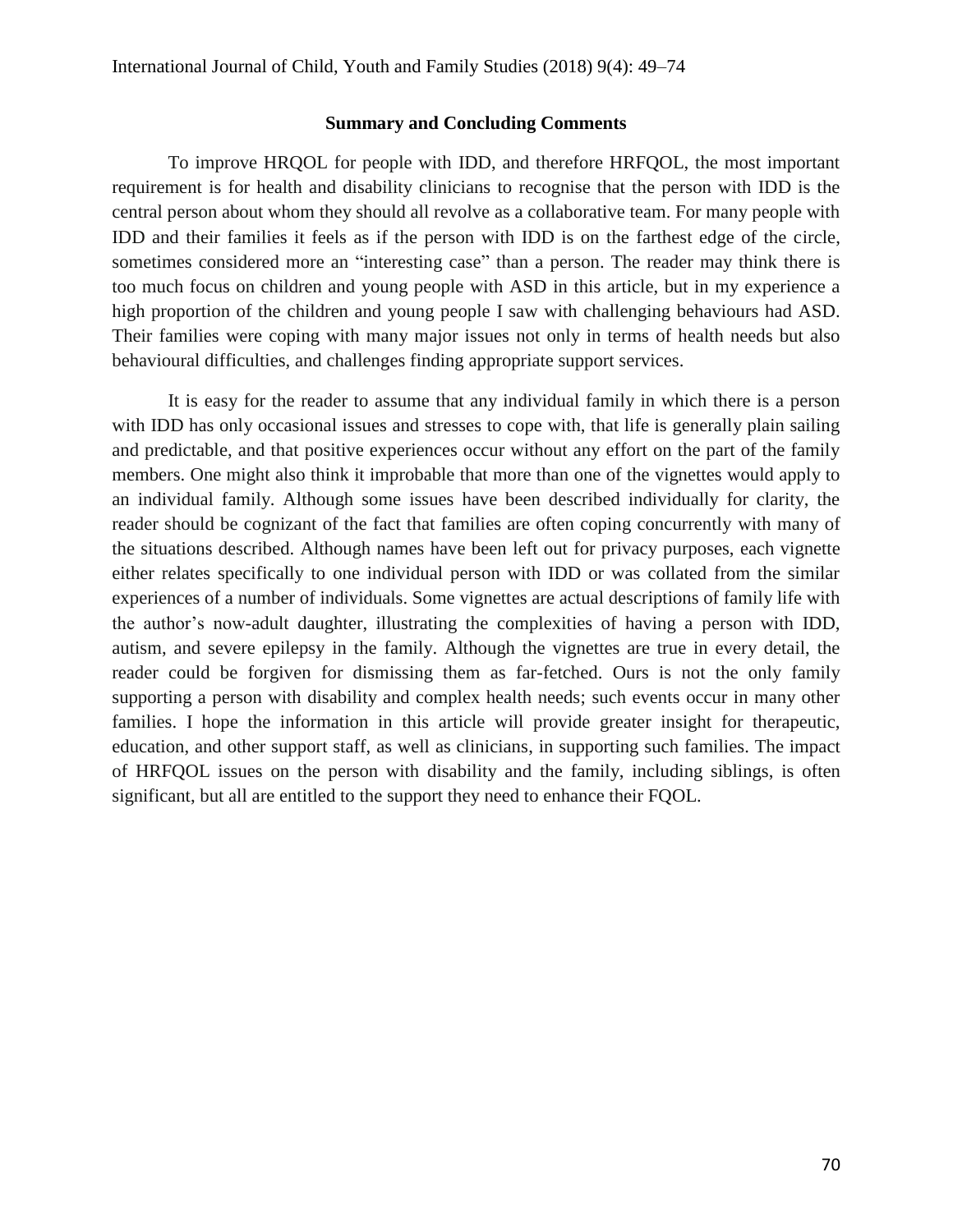### **Summary and Concluding Comments**

To improve HRQOL for people with IDD, and therefore HRFQOL, the most important requirement is for health and disability clinicians to recognise that the person with IDD is the central person about whom they should all revolve as a collaborative team. For many people with IDD and their families it feels as if the person with IDD is on the farthest edge of the circle, sometimes considered more an "interesting case" than a person. The reader may think there is too much focus on children and young people with ASD in this article, but in my experience a high proportion of the children and young people I saw with challenging behaviours had ASD. Their families were coping with many major issues not only in terms of health needs but also behavioural difficulties, and challenges finding appropriate support services.

It is easy for the reader to assume that any individual family in which there is a person with IDD has only occasional issues and stresses to cope with, that life is generally plain sailing and predictable, and that positive experiences occur without any effort on the part of the family members. One might also think it improbable that more than one of the vignettes would apply to an individual family. Although some issues have been described individually for clarity, the reader should be cognizant of the fact that families are often coping concurrently with many of the situations described. Although names have been left out for privacy purposes, each vignette either relates specifically to one individual person with IDD or was collated from the similar experiences of a number of individuals. Some vignettes are actual descriptions of family life with the author's now-adult daughter, illustrating the complexities of having a person with IDD, autism, and severe epilepsy in the family. Although the vignettes are true in every detail, the reader could be forgiven for dismissing them as far-fetched. Ours is not the only family supporting a person with disability and complex health needs; such events occur in many other families. I hope the information in this article will provide greater insight for therapeutic, education, and other support staff, as well as clinicians, in supporting such families. The impact of HRFQOL issues on the person with disability and the family, including siblings, is often significant, but all are entitled to the support they need to enhance their FQOL.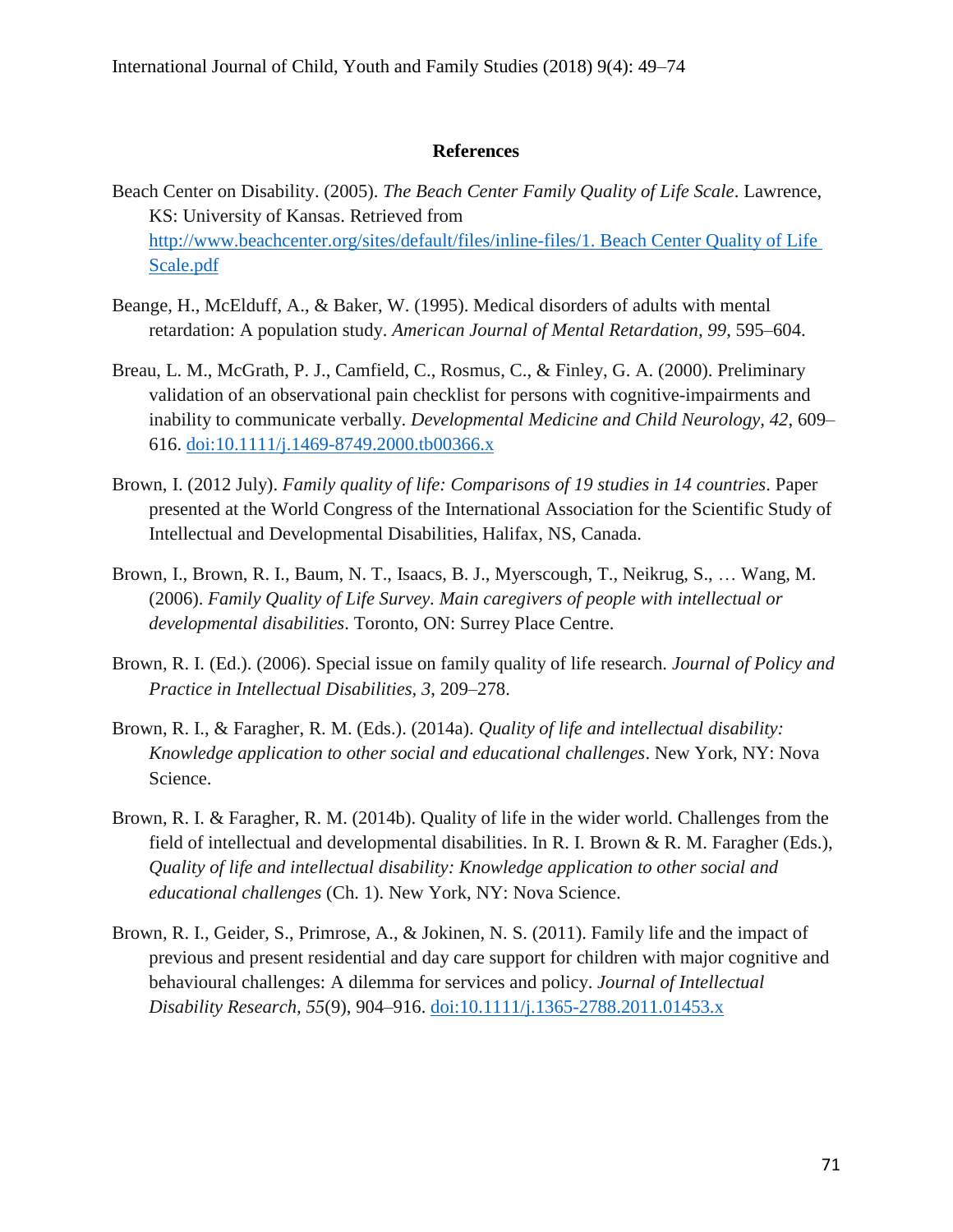#### **References**

- Beach Center on Disability. (2005). *The Beach Center Family Quality of Life Scale*. Lawrence, KS: University of Kansas. Retrieved from [http://www.beachcenter.org/sites/default/files/inline-files/1. Beach Center Quality of Life](http://www.beachcenter.org/sites/default/files/inline-files/1.%20Beach%20Center%20Quality%20of%20Life%20Scale.pdf)  [Scale.pdf](http://www.beachcenter.org/sites/default/files/inline-files/1.%20Beach%20Center%20Quality%20of%20Life%20Scale.pdf)
- Beange, H., McElduff, A., & Baker, W. (1995). Medical disorders of adults with mental retardation: A population study. *American Journal of Mental Retardation, 99*, 595–604.
- Breau, L. M., McGrath, P. J., Camfield, C., Rosmus, C., & Finley, G. A. (2000). Preliminary validation of an observational pain checklist for persons with cognitive-impairments and inability to communicate verbally. *Developmental Medicine and Child Neurology, 42*, 609– 616. [doi:10.1111/j.1469-8749.2000.tb00366.x](http://dx.doi.org/10.1111/j.1469-8749.2000.tb00366.x)
- Brown, I. (2012 July). *Family quality of life: Comparisons of 19 studies in 14 countries*. Paper presented at the World Congress of the International Association for the Scientific Study of Intellectual and Developmental Disabilities, Halifax, NS, Canada.
- Brown, I., Brown, R. I., Baum, N. T., Isaacs, B. J., Myerscough, T., Neikrug, S., … Wang, M. (2006). *Family Quality of Life Survey. Main caregivers of people with intellectual or developmental disabilities*. Toronto, ON: Surrey Place Centre.
- Brown, R. I. (Ed.). (2006). Special issue on family quality of life research. *Journal of Policy and Practice in Intellectual Disabilities, 3*, 209–278.
- Brown, R. I., & Faragher, R. M. (Eds.). (2014a). *Quality of life and intellectual disability: Knowledge application to other social and educational challenges*. New York, NY: Nova Science.
- Brown, R. I. & Faragher, R. M. (2014b). Quality of life in the wider world. Challenges from the field of intellectual and developmental disabilities. In R. I. Brown & R. M. Faragher (Eds.), *Quality of life and intellectual disability: Knowledge application to other social and educational challenges* (Ch. 1). New York, NY: Nova Science.
- Brown, R. I., Geider, S., Primrose, A., & Jokinen, N. S. (2011). Family life and the impact of previous and present residential and day care support for children with major cognitive and behavioural challenges: A dilemma for services and policy. *Journal of Intellectual Disability Research, 55*(9), 904–916. [doi:10.1111/j.1365-2788.2011.01453.x](http://dx.doi.org/10.1111/j.1365-2788.2011.01453.x)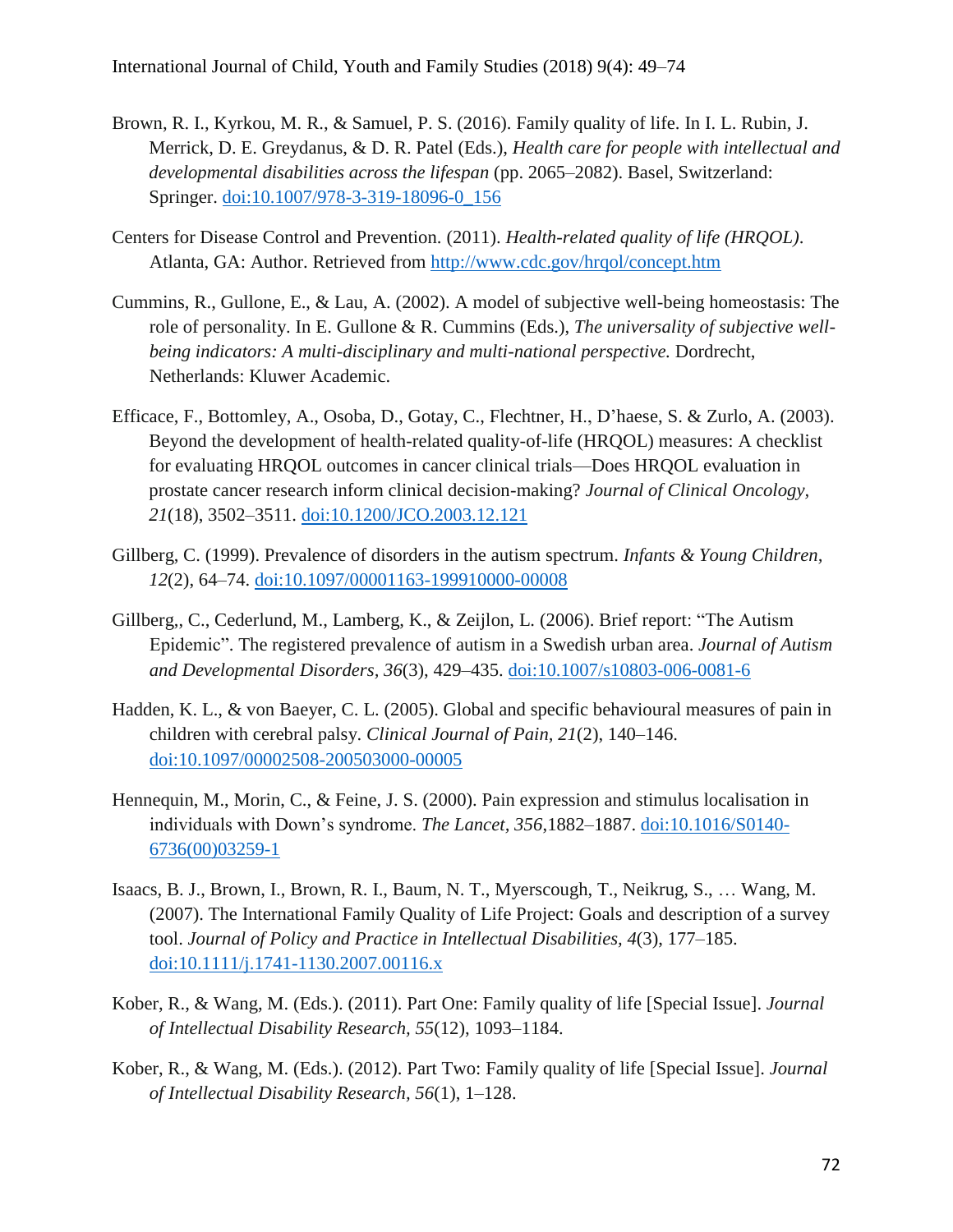- Brown, R. I., Kyrkou, M. R., & Samuel, P. S. (2016). Family quality of life. In I. L. Rubin, J. Merrick, D. E. Greydanus, & D. R. Patel (Eds.), *Health care for people with intellectual and developmental disabilities across the lifespan* (pp. 2065–2082). Basel, Switzerland: Springer. [doi:10.1007/978-3-319-18096-0\\_156](http://dx.doi.org/10.1007/978-3-319-18096-0_156)
- Centers for Disease Control and Prevention. (2011). *Health-related quality of life (HRQOL)*. Atlanta, GA: Author. Retrieved from <http://www.cdc.gov/hrqol/concept.htm>
- Cummins, R., Gullone, E., & Lau, A. (2002). A model of subjective well-being homeostasis: The role of personality. In E. Gullone & R. Cummins (Eds.), *The universality of subjective wellbeing indicators: A multi-disciplinary and multi-national perspective.* Dordrecht, Netherlands: Kluwer Academic.
- Efficace, F., Bottomley, A., Osoba, D., Gotay, C., Flechtner, H., D'haese, S. & Zurlo, A. (2003). Beyond the development of health-related quality-of-life (HRQOL) measures: A checklist for evaluating HRQOL outcomes in cancer clinical trials—Does HRQOL evaluation in prostate cancer research inform clinical decision-making? *Journal of Clinical Oncology, 21*(18), 3502–3511. [doi:10.1200/JCO.2003.12.121](http://dx.doi.org/10.1200/JCO.2003.12.121)
- Gillberg, C. (1999). Prevalence of disorders in the autism spectrum. *Infants & Young Children, 12*(2), 64–74. [doi:10.1097/00001163-199910000-00008](http://dx.doi.org/10.1097/00001163-199910000-00008)
- Gillberg,, C., Cederlund, M., Lamberg, K., & Zeijlon, L. (2006). Brief report: "The Autism Epidemic". The registered prevalence of autism in a Swedish urban area. *Journal of Autism and Developmental Disorders, 36*(3), 429–435. [doi:10.1007/s10803-006-0081-6](http://dx.doi.org/10.1007/s10803-006-0081-6)
- Hadden, K. L., & von Baeyer, C. L. (2005). Global and specific behavioural measures of pain in children with cerebral palsy. *Clinical Journal of Pain, 21*(2), 140–146. [doi:10.1097/00002508-200503000-00005](http://dx.doi.org/10.1097/00002508-200503000-00005)
- Hennequin, M., Morin, C., & Feine, J. S. (2000). Pain expression and stimulus localisation in individuals with Down's syndrome. *The Lancet, 356*,1882–1887. [doi:10.1016/S0140-](http://dx.doi.org/10.1016/S0140-6736(00)03259-1) [6736\(00\)03259-1](http://dx.doi.org/10.1016/S0140-6736(00)03259-1)
- Isaacs, B. J., Brown, I., Brown, R. I., Baum, N. T., Myerscough, T., Neikrug, S., … Wang, M. (2007). The International Family Quality of Life Project: Goals and description of a survey tool. *Journal of Policy and Practice in Intellectual Disabilities, 4*(3), 177–185. [doi:10.1111/j.1741-1130.2007.00116.x](http://dx.doi.org/10.1111/j.1741-1130.2007.00116.x)
- Kober, R., & Wang, M. (Eds.). (2011). Part One: Family quality of life [Special Issue]. *Journal of Intellectual Disability Research, 55*(12), 1093–1184.
- Kober, R., & Wang, M. (Eds.). (2012). Part Two: Family quality of life [Special Issue]. *Journal of Intellectual Disability Research, 56*(1), 1–128.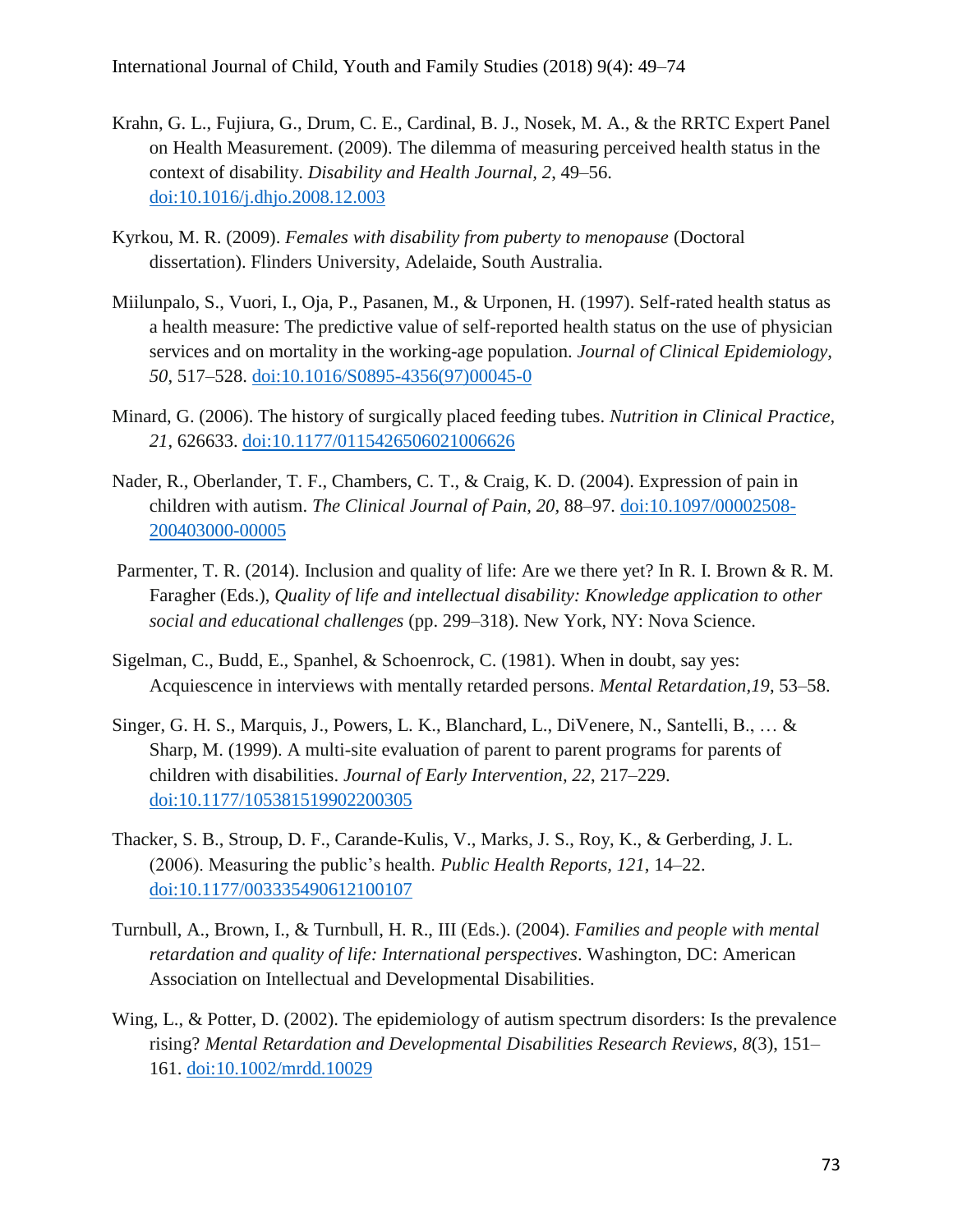- Krahn, G. L., Fujiura, G., Drum, C. E., Cardinal, B. J., Nosek, M. A., & the RRTC Expert Panel on Health Measurement. (2009). The dilemma of measuring perceived health status in the context of disability. *Disability and Health Journal, 2*, 49–56. [doi:10.1016/j.dhjo.2008.12.003](http://dx.doi.org/10.1016/j.dhjo.2008.12.003)
- Kyrkou, M. R. (2009). *Females with disability from puberty to menopause* (Doctoral dissertation). Flinders University, Adelaide, South Australia.
- Miilunpalo, S., Vuori, I., Oja, P., Pasanen, M., & Urponen, H. (1997). Self-rated health status as a health measure: The predictive value of self-reported health status on the use of physician services and on mortality in the working-age population. *Journal of Clinical Epidemiology, 50*, 517–528. [doi:10.1016/S0895-4356\(97\)00045-0](http://dx.doi.org/10.1016/S0895-4356(97)00045-0)
- Minard, G. (2006). The history of surgically placed feeding tubes. *Nutrition in Clinical Practice, 21*, 626633. [doi:10.1177/0115426506021006626](http://dx.doi.org/10.1177/0115426506021006626)
- Nader, R., Oberlander, T. F., Chambers, C. T., & Craig, K. D. (2004). Expression of pain in children with autism. *The Clinical Journal of Pain, 20,* 88–97*.* [doi:10.1097/00002508-](http://dx.doi.org/10.1097/00002508-200403000-00005) [200403000-00005](http://dx.doi.org/10.1097/00002508-200403000-00005)
- Parmenter, T. R. (2014). Inclusion and quality of life: Are we there yet? In R. I. Brown & R. M. Faragher (Eds.), *Quality of life and intellectual disability: Knowledge application to other social and educational challenges* (pp. 299–318). New York, NY: Nova Science.
- Sigelman, C., Budd, E., Spanhel, & Schoenrock, C. (1981). When in doubt, say yes: Acquiescence in interviews with mentally retarded persons. *Mental Retardation,19*, 53–58.
- Singer, G. H. S., Marquis, J., Powers, L. K., Blanchard, L., DiVenere, N., Santelli, B., … & Sharp, M. (1999). A multi-site evaluation of parent to parent programs for parents of children with disabilities. *Journal of Early Intervention, 22*, 217–229. [doi:10.1177/105381519902200305](http://dx.doi.org/10.1177/105381519902200305)
- Thacker, S. B., Stroup, D. F., Carande-Kulis, V., Marks, J. S., Roy, K., & Gerberding, J. L. (2006). Measuring the public's health. *Public Health Reports, 121*, 14–22. [doi:10.1177/003335490612100107](http://dx.doi.org/10.1177/003335490612100107)
- Turnbull, A., Brown, I., & Turnbull, H. R., III (Eds.). (2004). *Families and people with mental retardation and quality of life: International perspectives*. Washington, DC: American Association on Intellectual and Developmental Disabilities.
- Wing, L., & Potter, D. (2002). The epidemiology of autism spectrum disorders: Is the prevalence rising? *Mental Retardation and Developmental Disabilities Research Reviews, 8*(3), 151– 161. [doi:10.1002/mrdd.10029](http://dx.doi.org/10.1002/mrdd.10029)